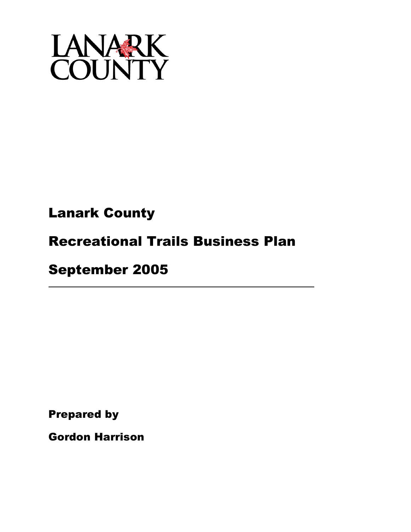

# Lanark County

# Recreational Trails Business Plan

# September 2005

Prepared by

Gordon Harrison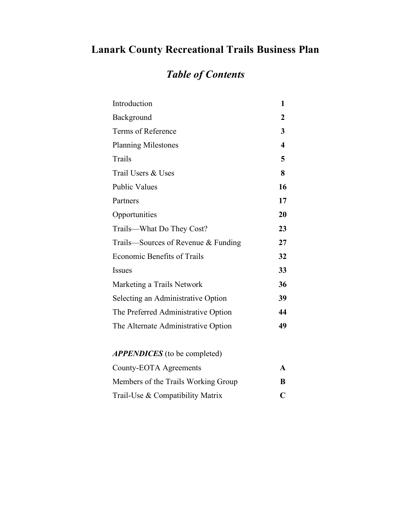### **Lanark County Recreational Trails Business Plan**

### *Table of Contents*

| Introduction                        | 1  |
|-------------------------------------|----|
| Background                          | 2  |
| Terms of Reference                  | 3  |
| <b>Planning Milestones</b>          | 4  |
| Trails                              | 5  |
| Trail Users & Uses                  | 8  |
| <b>Public Values</b>                | 16 |
| Partners                            | 17 |
| Opportunities                       | 20 |
| Trails—What Do They Cost?           | 23 |
| Trails—Sources of Revenue & Funding | 27 |
| <b>Economic Benefits of Trails</b>  | 32 |
| <b>Issues</b>                       | 33 |
| Marketing a Trails Network          | 36 |
| Selecting an Administrative Option  | 39 |
| The Preferred Administrative Option | 44 |
| The Alternate Administrative Option | 49 |
|                                     |    |

| County-EOTA Agreements              | $\mathbf{A}$ |
|-------------------------------------|--------------|
| Members of the Trails Working Group | B            |
| Trail-Use & Compatibility Matrix    | $\mathbf{C}$ |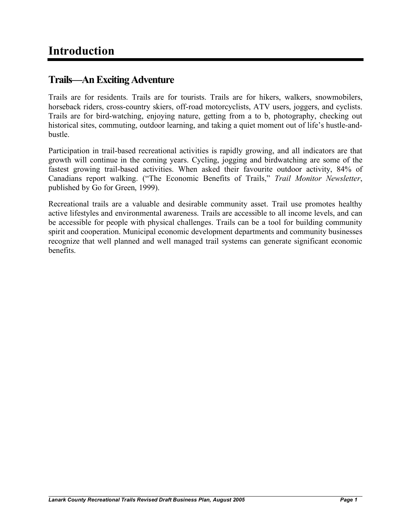### **Trails—AnExcitingAdventure**

Trails are for residents. Trails are for tourists. Trails are for hikers, walkers, snowmobilers, horseback riders, cross-country skiers, off-road motorcyclists, ATV users, joggers, and cyclists. Trails are for bird-watching, enjoying nature, getting from a to b, photography, checking out historical sites, commuting, outdoor learning, and taking a quiet moment out of life's hustle-andbustle.

Participation in trail-based recreational activities is rapidly growing, and all indicators are that growth will continue in the coming years. Cycling, jogging and birdwatching are some of the fastest growing trail-based activities. When asked their favourite outdoor activity, 84% of Canadians report walking. ("The Economic Benefits of Trails," *Trail Monitor Newsletter*, published by Go for Green, 1999).

Recreational trails are a valuable and desirable community asset. Trail use promotes healthy active lifestyles and environmental awareness. Trails are accessible to all income levels, and can be accessible for people with physical challenges. Trails can be a tool for building community spirit and cooperation. Municipal economic development departments and community businesses recognize that well planned and well managed trail systems can generate significant economic benefits.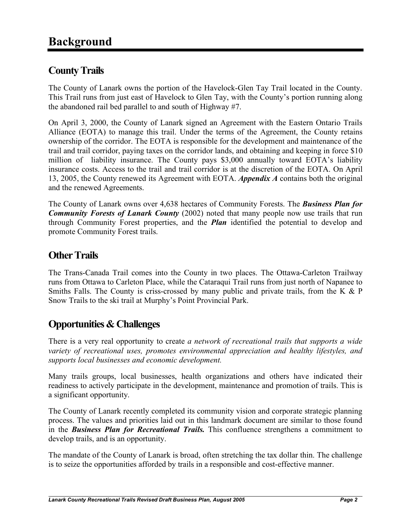### **CountyTrails**

The County of Lanark owns the portion of the Havelock-Glen Tay Trail located in the County. This Trail runs from just east of Havelock to Glen Tay, with the County's portion running along the abandoned rail bed parallel to and south of Highway #7.

On April 3, 2000, the County of Lanark signed an Agreement with the Eastern Ontario Trails Alliance (EOTA) to manage this trail. Under the terms of the Agreement, the County retains ownership of the corridor. The EOTA is responsible for the development and maintenance of the trail and trail corridor, paying taxes on the corridor lands, and obtaining and keeping in force \$10 million of liability insurance. The County pays \$3,000 annually toward EOTA's liability insurance costs. Access to the trail and trail corridor is at the discretion of the EOTA. On April 13, 2005, the County renewed its Agreement with EOTA. *Appendix A* contains both the original and the renewed Agreements.

The County of Lanark owns over 4,638 hectares of Community Forests. The *Business Plan for Community Forests of Lanark County* (2002) noted that many people now use trails that run through Community Forest properties, and the *Plan* identified the potential to develop and promote Community Forest trails.

#### **Other Trails**

The Trans-Canada Trail comes into the County in two places. The Ottawa-Carleton Trailway runs from Ottawa to Carleton Place, while the Cataraqui Trail runs from just north of Napanee to Smiths Falls. The County is criss-crossed by many public and private trails, from the K & P Snow Trails to the ski trail at Murphy's Point Provincial Park.

### **Opportunities & Challenges**

There is a very real opportunity to create *a network of recreational trails that supports a wide variety of recreational uses, promotes environmental appreciation and healthy lifestyles, and supports local businesses and economic development.*

Many trails groups, local businesses, health organizations and others have indicated their readiness to actively participate in the development, maintenance and promotion of trails. This is a significant opportunity.

The County of Lanark recently completed its community vision and corporate strategic planning process. The values and priorities laid out in this landmark document are similar to those found in the *Business Plan for Recreational Trails.* This confluence strengthens a commitment to develop trails, and is an opportunity.

The mandate of the County of Lanark is broad, often stretching the tax dollar thin. The challenge is to seize the opportunities afforded by trails in a responsible and cost-effective manner.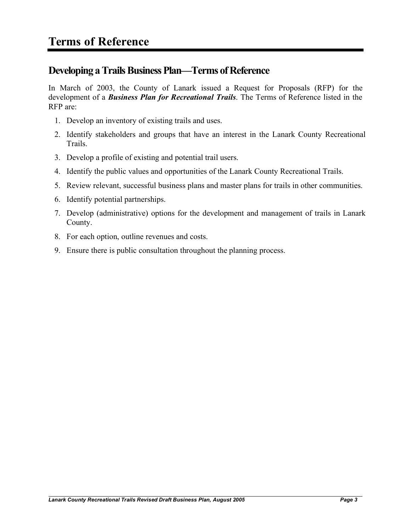### **Developing a Trails Business Plan—Terms of Reference**

In March of 2003, the County of Lanark issued a Request for Proposals (RFP) for the development of a *Business Plan for Recreational Trails*. The Terms of Reference listed in the RFP are:

- 1. Develop an inventory of existing trails and uses.
- 2. Identify stakeholders and groups that have an interest in the Lanark County Recreational Trails.
- 3. Develop a profile of existing and potential trail users.
- 4. Identify the public values and opportunities of the Lanark County Recreational Trails.
- 5. Review relevant, successful business plans and master plans for trails in other communities.
- 6. Identify potential partnerships.
- 7. Develop (administrative) options for the development and management of trails in Lanark County.
- 8. For each option, outline revenues and costs.
- 9. Ensure there is public consultation throughout the planning process.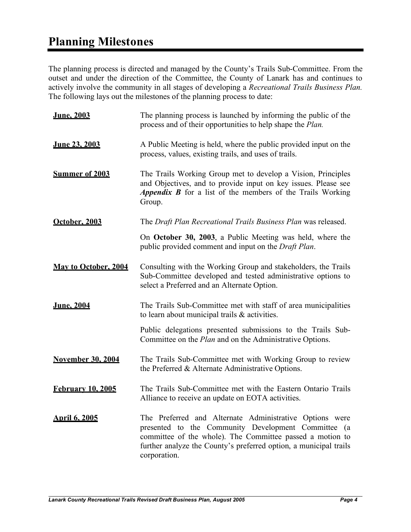### **Planning Milestones**

The planning process is directed and managed by the County's Trails Sub-Committee. From the outset and under the direction of the Committee, the County of Lanark has and continues to actively involve the community in all stages of developing a *Recreational Trails Business Plan.* The following lays out the milestones of the planning process to date:

| <b>June. 2003</b>           | The planning process is launched by informing the public of the<br>process and of their opportunities to help shape the Plan.                                                                                                                                    |
|-----------------------------|------------------------------------------------------------------------------------------------------------------------------------------------------------------------------------------------------------------------------------------------------------------|
| June 23, 2003               | A Public Meeting is held, where the public provided input on the<br>process, values, existing trails, and uses of trails.                                                                                                                                        |
| <b>Summer of 2003</b>       | The Trails Working Group met to develop a Vision, Principles<br>and Objectives, and to provide input on key issues. Please see<br>Appendix B for a list of the members of the Trails Working<br>Group.                                                           |
| October, 2003               | The Draft Plan Recreational Trails Business Plan was released.                                                                                                                                                                                                   |
|                             | On October 30, 2003, a Public Meeting was held, where the<br>public provided comment and input on the Draft Plan.                                                                                                                                                |
| <b>May to October, 2004</b> | Consulting with the Working Group and stakeholders, the Trails<br>Sub-Committee developed and tested administrative options to<br>select a Preferred and an Alternate Option.                                                                                    |
| <u>June, 2004</u>           | The Trails Sub-Committee met with staff of area municipalities<br>to learn about municipal trails & activities.                                                                                                                                                  |
|                             | Public delegations presented submissions to the Trails Sub-<br>Committee on the <i>Plan</i> and on the Administrative Options.                                                                                                                                   |
| <b>November 30, 2004</b>    | The Trails Sub-Committee met with Working Group to review<br>the Preferred & Alternate Administrative Options.                                                                                                                                                   |
| <b>February 10, 2005</b>    | The Trails Sub-Committee met with the Eastern Ontario Trails<br>Alliance to receive an update on EOTA activities.                                                                                                                                                |
| <b>April 6, 2005</b>        | The Preferred and Alternate Administrative Options were<br>presented to the Community Development Committee (a<br>committee of the whole). The Committee passed a motion to<br>further analyze the County's preferred option, a municipal trails<br>corporation. |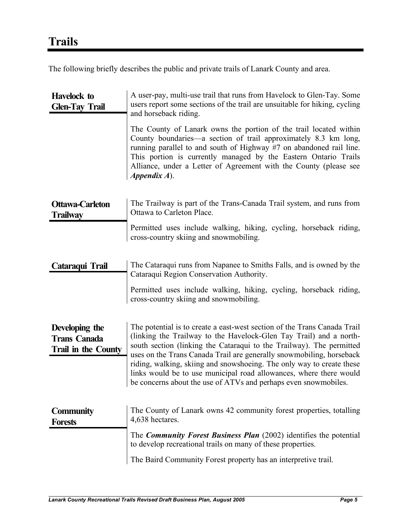The following briefly describes the public and private trails of Lanark County and area.

| <b>Havelock to</b><br><b>Glen-Tay Trail</b>                  | A user-pay, multi-use trail that runs from Havelock to Glen-Tay. Some<br>users report some sections of the trail are unsuitable for hiking, cycling<br>and horseback riding.                                                                                                                                                                                                                                                                                                                                     |
|--------------------------------------------------------------|------------------------------------------------------------------------------------------------------------------------------------------------------------------------------------------------------------------------------------------------------------------------------------------------------------------------------------------------------------------------------------------------------------------------------------------------------------------------------------------------------------------|
|                                                              | The County of Lanark owns the portion of the trail located within<br>County boundaries—a section of trail approximately 8.3 km long,<br>running parallel to and south of Highway #7 on abandoned rail line.<br>This portion is currently managed by the Eastern Ontario Trails<br>Alliance, under a Letter of Agreement with the County (please see<br>$Appendix A)$ .                                                                                                                                           |
| <b>Ottawa-Carleton</b><br><b>Trailway</b>                    | The Trailway is part of the Trans-Canada Trail system, and runs from<br>Ottawa to Carleton Place.                                                                                                                                                                                                                                                                                                                                                                                                                |
|                                                              | Permitted uses include walking, hiking, cycling, horseback riding,<br>cross-country skiing and snowmobiling.                                                                                                                                                                                                                                                                                                                                                                                                     |
| Cataraqui Trail                                              | The Cataraqui runs from Napanee to Smiths Falls, and is owned by the<br>Cataraqui Region Conservation Authority.                                                                                                                                                                                                                                                                                                                                                                                                 |
|                                                              | Permitted uses include walking, hiking, cycling, horseback riding,<br>cross-country skiing and snowmobiling.                                                                                                                                                                                                                                                                                                                                                                                                     |
| Developing the<br><b>Trans Canada</b><br>Trail in the County | The potential is to create a east-west section of the Trans Canada Trail<br>(linking the Trailway to the Havelock-Glen Tay Trail) and a north-<br>south section (linking the Cataraqui to the Trailway). The permitted<br>uses on the Trans Canada Trail are generally snowmobiling, horseback<br>riding, walking, skiing and snowshoeing. The only way to create these<br>links would be to use municipal road allowances, where there would<br>be concerns about the use of ATVs and perhaps even snowmobiles. |
| <b>Community</b><br><b>Forests</b>                           | The County of Lanark owns 42 community forest properties, totalling<br>4,638 hectares.                                                                                                                                                                                                                                                                                                                                                                                                                           |
|                                                              | The <i>Community Forest Business Plan</i> (2002) identifies the potential<br>to develop recreational trails on many of these properties.                                                                                                                                                                                                                                                                                                                                                                         |
|                                                              | The Baird Community Forest property has an interpretive trail.                                                                                                                                                                                                                                                                                                                                                                                                                                                   |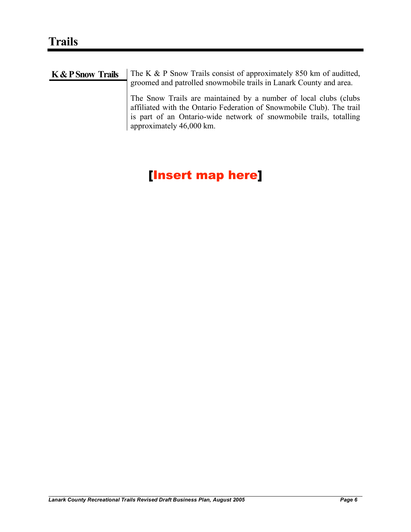| <b>K &amp; P Snow Trails</b> | The K & P Snow Trails consist of approximately 850 km of audited,<br>groomed and patrolled snowmobile trails in Lanark County and area.                                                                                                     |
|------------------------------|---------------------------------------------------------------------------------------------------------------------------------------------------------------------------------------------------------------------------------------------|
|                              | The Snow Trails are maintained by a number of local clubs (clubs<br>affiliated with the Ontario Federation of Snowmobile Club). The trail<br>is part of an Ontario-wide network of snowmobile trails, totalling<br>approximately 46,000 km. |

### [Insert map here]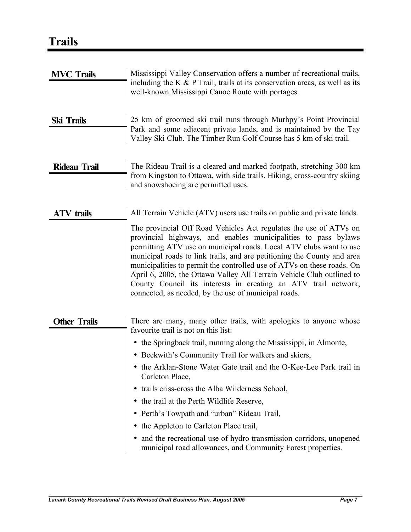| <b>MVC Trails</b>   | Mississippi Valley Conservation offers a number of recreational trails,<br>including the K $\&$ P Trail, trails at its conservation areas, as well as its<br>well-known Mississippi Canoe Route with portages.                                                                                                                                                                                                                                                                                                                                                    |
|---------------------|-------------------------------------------------------------------------------------------------------------------------------------------------------------------------------------------------------------------------------------------------------------------------------------------------------------------------------------------------------------------------------------------------------------------------------------------------------------------------------------------------------------------------------------------------------------------|
| <b>Ski Trails</b>   | 25 km of groomed ski trail runs through Murhpy's Point Provincial<br>Park and some adjacent private lands, and is maintained by the Tay<br>Valley Ski Club. The Timber Run Golf Course has 5 km of ski trail.                                                                                                                                                                                                                                                                                                                                                     |
| <b>Rideau Trail</b> | The Rideau Trail is a cleared and marked footpath, stretching 300 km<br>from Kingston to Ottawa, with side trails. Hiking, cross-country skiing<br>and snowshoeing are permitted uses.                                                                                                                                                                                                                                                                                                                                                                            |
| ATV trails          | All Terrain Vehicle (ATV) users use trails on public and private lands.                                                                                                                                                                                                                                                                                                                                                                                                                                                                                           |
|                     | The provincial Off Road Vehicles Act regulates the use of ATVs on<br>provincial highways, and enables municipalities to pass bylaws<br>permitting ATV use on municipal roads. Local ATV clubs want to use<br>municipal roads to link trails, and are petitioning the County and area<br>municipalities to permit the controlled use of ATVs on these roads. On<br>April 6, 2005, the Ottawa Valley All Terrain Vehicle Club outlined to<br>County Council its interests in creating an ATV trail network,<br>connected, as needed, by the use of municipal roads. |
| <b>Other Trails</b> | There are many, many other trails, with apologies to anyone whose<br>favourite trail is not on this list:                                                                                                                                                                                                                                                                                                                                                                                                                                                         |
|                     | • the Springback trail, running along the Mississippi, in Almonte,                                                                                                                                                                                                                                                                                                                                                                                                                                                                                                |
|                     | • Beckwith's Community Trail for walkers and skiers,                                                                                                                                                                                                                                                                                                                                                                                                                                                                                                              |
|                     | • the Arklan-Stone Water Gate trail and the O-Kee-Lee Park trail in<br>Carleton Place,                                                                                                                                                                                                                                                                                                                                                                                                                                                                            |
|                     | trails criss-cross the Alba Wilderness School,                                                                                                                                                                                                                                                                                                                                                                                                                                                                                                                    |
|                     | the trail at the Perth Wildlife Reserve,                                                                                                                                                                                                                                                                                                                                                                                                                                                                                                                          |
|                     | • Perth's Towpath and "urban" Rideau Trail,                                                                                                                                                                                                                                                                                                                                                                                                                                                                                                                       |
|                     | the Appleton to Carleton Place trail,                                                                                                                                                                                                                                                                                                                                                                                                                                                                                                                             |
|                     | and the recreational use of hydro transmission corridors, unopened<br>٠<br>municipal road allowances, and Community Forest properties.                                                                                                                                                                                                                                                                                                                                                                                                                            |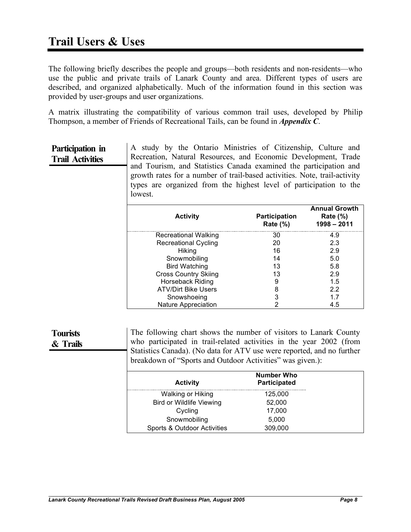The following briefly describes the people and groups—both residents and non-residents—who use the public and private trails of Lanark County and area. Different types of users are described, and organized alphabetically. Much of the information found in this section was provided by user-groups and user organizations.

A matrix illustrating the compatibility of various common trail uses, developed by Philip Thompson, a member of Friends of Recreational Tails, can be found in *Appendix C*.

#### **Participation in Trail Activities**

A study by the Ontario Ministries of Citizenship, Culture and Recreation, Natural Resources, and Economic Development, Trade and Tourism, and Statistics Canada examined the participation and growth rates for a number of trail-based activities. Note, trail-activity types are organized from the highest level of participation to the lowest.

| <b>Activity</b>             | <b>Participation</b><br><b>Rate (%)</b> | <b>Annual Growth</b><br>Rate $(\%)$<br>$1998 - 2011$ |
|-----------------------------|-----------------------------------------|------------------------------------------------------|
| <b>Recreational Walking</b> | 30                                      | 4.9                                                  |
| <b>Recreational Cycling</b> | 20                                      | 2.3                                                  |
| <b>Hiking</b>               | 16                                      | 2.9                                                  |
| Snowmobiling                | 14                                      | 5.0                                                  |
| <b>Bird Watching</b>        | 13                                      | 5.8                                                  |
| <b>Cross Country Skiing</b> | 13                                      | 2.9                                                  |
| Horseback Riding            | 9                                       | 1.5                                                  |
| <b>ATV/Dirt Bike Users</b>  | 8                                       | 2.2                                                  |
| Snowshoeing                 | 3                                       | 17                                                   |
| <b>Nature Appreciation</b>  |                                         | 4.5                                                  |

#### **Tourists & Trails** The following chart shows the number of visitors to Lanark County who participated in trail-related activities in the year 2002 (from Statistics Canada). (No data for ATV use were reported, and no further breakdown of "Sports and Outdoor Activities" was given.):

|                                 | <b>Number Who</b> |
|---------------------------------|-------------------|
| <b>Activity</b>                 | Participated      |
| Walking or Hiking               | 125,000           |
| <b>Bird or Wildlife Viewing</b> | 52,000            |
| Cycling                         | 17,000            |
| Snowmobiling                    | 5,000             |
| Sports & Outdoor Activities     | 309,000           |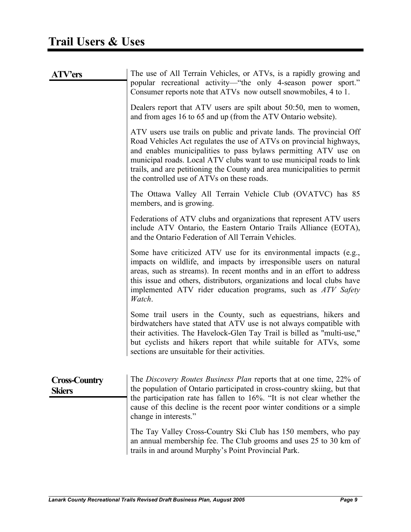| <b>ATV'ers</b>                        | The use of All Terrain Vehicles, or ATVs, is a rapidly growing and<br>popular recreational activity—"the only 4-season power sport."<br>Consumer reports note that ATVs now outsell snowmobiles, 4 to 1.                                                                                                                                                                                                         |
|---------------------------------------|------------------------------------------------------------------------------------------------------------------------------------------------------------------------------------------------------------------------------------------------------------------------------------------------------------------------------------------------------------------------------------------------------------------|
|                                       | Dealers report that ATV users are spilt about 50:50, men to women,<br>and from ages 16 to 65 and up (from the ATV Ontario website).                                                                                                                                                                                                                                                                              |
|                                       | ATV users use trails on public and private lands. The provincial Off<br>Road Vehicles Act regulates the use of ATVs on provincial highways,<br>and enables municipalities to pass bylaws permitting ATV use on<br>municipal roads. Local ATV clubs want to use municipal roads to link<br>trails, and are petitioning the County and area municipalities to permit<br>the controlled use of ATVs on these roads. |
|                                       | The Ottawa Valley All Terrain Vehicle Club (OVATVC) has 85<br>members, and is growing.                                                                                                                                                                                                                                                                                                                           |
|                                       | Federations of ATV clubs and organizations that represent ATV users<br>include ATV Ontario, the Eastern Ontario Trails Alliance (EOTA),<br>and the Ontario Federation of All Terrain Vehicles.                                                                                                                                                                                                                   |
|                                       | Some have criticized ATV use for its environmental impacts (e.g.,<br>impacts on wildlife, and impacts by irresponsible users on natural<br>areas, such as streams). In recent months and in an effort to address<br>this issue and others, distributors, organizations and local clubs have<br>implemented ATV rider education programs, such as <i>ATV Safety</i><br>Watch.                                     |
|                                       | Some trail users in the County, such as equestrians, hikers and<br>birdwatchers have stated that ATV use is not always compatible with<br>their activities. The Havelock-Glen Tay Trail is billed as "multi-use,"<br>but cyclists and hikers report that while suitable for ATVs, some<br>sections are unsuitable for their activities.                                                                          |
| <b>Cross-Country</b><br><b>Skiers</b> | The Discovery Routes Business Plan reports that at one time, 22% of<br>the population of Ontario participated in cross-country skiing, but that<br>the participation rate has fallen to 16%. "It is not clear whether the<br>cause of this decline is the recent poor winter conditions or a simple<br>change in interests."                                                                                     |
|                                       | The Tay Valley Cross-Country Ski Club has 150 members, who pay<br>an annual membership fee. The Club grooms and uses 25 to 30 km of<br>trails in and around Murphy's Point Provincial Park.                                                                                                                                                                                                                      |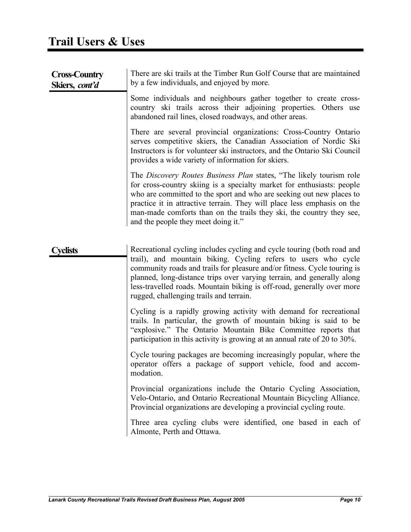| <b>Cross-Country</b><br>Skiers, cont'd | There are ski trails at the Timber Run Golf Course that are maintained<br>by a few individuals, and enjoyed by more.                                                                                                                                                                                                                                                                                                |
|----------------------------------------|---------------------------------------------------------------------------------------------------------------------------------------------------------------------------------------------------------------------------------------------------------------------------------------------------------------------------------------------------------------------------------------------------------------------|
|                                        | Some individuals and neighbours gather together to create cross-<br>country ski trails across their adjoining properties. Others use<br>abandoned rail lines, closed roadways, and other areas.                                                                                                                                                                                                                     |
|                                        | There are several provincial organizations: Cross-Country Ontario<br>serves competitive skiers, the Canadian Association of Nordic Ski<br>Instructors is for volunteer ski instructors, and the Ontario Ski Council<br>provides a wide variety of information for skiers.                                                                                                                                           |
|                                        | The Discovery Routes Business Plan states, "The likely tourism role"<br>for cross-country skiing is a specialty market for enthusiasts: people<br>who are committed to the sport and who are seeking out new places to<br>practice it in attractive terrain. They will place less emphasis on the<br>man-made comforts than on the trails they ski, the country they see,<br>and the people they meet doing it."    |
| <b><i>C</i></b> velists                | Recreational cycling includes cycling and cycle touring (both road and<br>trail), and mountain biking. Cycling refers to users who cycle<br>community roads and trails for pleasure and/or fitness. Cycle touring is<br>planned, long-distance trips over varying terrain, and generally along<br>less-travelled roads. Mountain biking is off-road, generally over more<br>rugged, challenging trails and terrain. |
|                                        | Cycling is a rapidly growing activity with demand for recreational<br>trails. In particular, the growth of mountain biking is said to be<br>"explosive." The Ontario Mountain Bike Committee reports that<br>participation in this activity is growing at an annual rate of 20 to 30%.                                                                                                                              |
|                                        | Cycle touring packages are becoming increasingly popular, where the<br>operator offers a package of support vehicle, food and accom-<br>modation.                                                                                                                                                                                                                                                                   |
|                                        | Provincial organizations include the Ontario Cycling Association,<br>Velo-Ontario, and Ontario Recreational Mountain Bicycling Alliance.<br>Provincial organizations are developing a provincial cycling route.                                                                                                                                                                                                     |
|                                        | Three area cycling clubs were identified, one based in each of<br>Almonte, Perth and Ottawa.                                                                                                                                                                                                                                                                                                                        |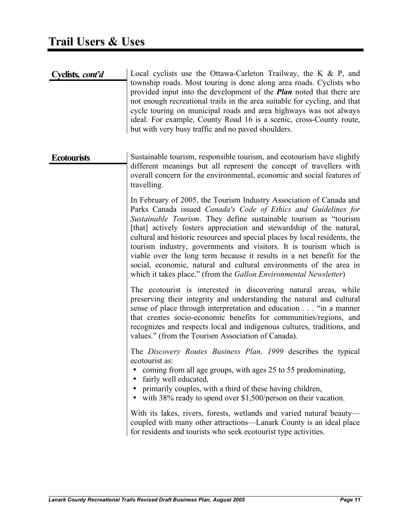| Cyclists, cont'd   | Local cyclists use the Ottawa-Carleton Trailway, the K $\&$ P, and<br>township roads. Most touring is done along area roads. Cyclists who<br>provided input into the development of the <i>Plan</i> noted that there are<br>not enough recreational trails in the area suitable for cycling, and that<br>cycle touring on municipal roads and area highways was not always<br>ideal. For example, County Road 16 is a scenic, cross-County route,<br>but with very busy traffic and no paved shoulders.                                                                                                                                                   |
|--------------------|-----------------------------------------------------------------------------------------------------------------------------------------------------------------------------------------------------------------------------------------------------------------------------------------------------------------------------------------------------------------------------------------------------------------------------------------------------------------------------------------------------------------------------------------------------------------------------------------------------------------------------------------------------------|
| <b>Ecotourists</b> | Sustainable tourism, responsible tourism, and ecotourism have slightly<br>different meanings but all represent the concept of travellers with<br>overall concern for the environmental, economic and social features of<br>travelling.                                                                                                                                                                                                                                                                                                                                                                                                                    |
|                    | In February of 2005, the Tourism Industry Association of Canada and<br>Parks Canada issued Canada's Code of Ethics and Guidelines for<br>Sustainable Tourism. They define sustainable tourism as "tourism<br>[that] actively fosters appreciation and stewardship of the natural,<br>cultural and historic resources and special places by local residents, the<br>tourism industry, governments and visitors. It is tourism which is<br>viable over the long term because it results in a net benefit for the<br>social, economic, natural and cultural environments of the area in<br>which it takes place." (from the Gallon Environmental Newsletter) |
|                    | The ecotourist is interested in discovering natural areas, while<br>preserving their integrity and understanding the natural and cultural<br>sense of place through interpretation and education "in a manner<br>that creates socio-economic benefits for communities/regions, and<br>recognizes and respects local and indigenous cultures, traditions, and<br>values." (from the Tourism Association of Canada).                                                                                                                                                                                                                                        |
|                    | The Discovery Routes Business Plan, 1999 describes the typical<br>ecotourist as:<br>coming from all age groups, with ages 25 to 55 predominating,<br>fairly well educated,<br>primarily couples, with a third of these having children,<br>with 38% ready to spend over $$1,500/person$ on their vacation.                                                                                                                                                                                                                                                                                                                                                |
|                    | With its lakes, rivers, forests, wetlands and varied natural beauty-<br>coupled with many other attractions—Lanark County is an ideal place<br>for residents and tourists who seek ecotourist type activities.                                                                                                                                                                                                                                                                                                                                                                                                                                            |
|                    |                                                                                                                                                                                                                                                                                                                                                                                                                                                                                                                                                                                                                                                           |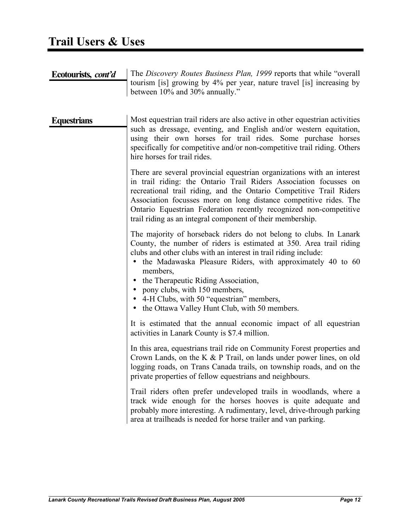| Ecotourists, cont'd | The Discovery Routes Business Plan, 1999 reports that while "overall<br>tourism [is] growing by 4% per year, nature travel [is] increasing by<br>between 10% and 30% annually."                                                                                                                                                                                                                                                                                                           |
|---------------------|-------------------------------------------------------------------------------------------------------------------------------------------------------------------------------------------------------------------------------------------------------------------------------------------------------------------------------------------------------------------------------------------------------------------------------------------------------------------------------------------|
| <b>Equestrians</b>  | Most equestrian trail riders are also active in other equestrian activities<br>such as dressage, eventing, and English and/or western equitation,<br>using their own horses for trail rides. Some purchase horses<br>specifically for competitive and/or non-competitive trail riding. Others<br>hire horses for trail rides.                                                                                                                                                             |
|                     | There are several provincial equestrian organizations with an interest<br>in trail riding: the Ontario Trail Riders Association focusses on<br>recreational trail riding, and the Ontario Competitive Trail Riders<br>Association focusses more on long distance competitive rides. The<br>Ontario Equestrian Federation recently recognized non-competitive<br>trail riding as an integral component of their membership.                                                                |
|                     | The majority of horseback riders do not belong to clubs. In Lanark<br>County, the number of riders is estimated at 350. Area trail riding<br>clubs and other clubs with an interest in trail riding include:<br>• the Madawaska Pleasure Riders, with approximately 40 to 60<br>members,<br>the Therapeutic Riding Association,<br>$\bullet$<br>pony clubs, with 150 members,<br>$\bullet$<br>4-H Clubs, with 50 "equestrian" members,<br>• the Ottawa Valley Hunt Club, with 50 members. |
|                     | It is estimated that the annual economic impact of all equestrian<br>activities in Lanark County is \$7.4 million.                                                                                                                                                                                                                                                                                                                                                                        |
|                     | In this area, equestrians trail ride on Community Forest properties and<br>Crown Lands, on the K $&$ P Trail, on lands under power lines, on old<br>logging roads, on Trans Canada trails, on township roads, and on the<br>private properties of fellow equestrians and neighbours.                                                                                                                                                                                                      |
|                     | Trail riders often prefer undeveloped trails in woodlands, where a<br>track wide enough for the horses hooves is quite adequate and<br>probably more interesting. A rudimentary, level, drive-through parking<br>area at trailheads is needed for horse trailer and van parking.                                                                                                                                                                                                          |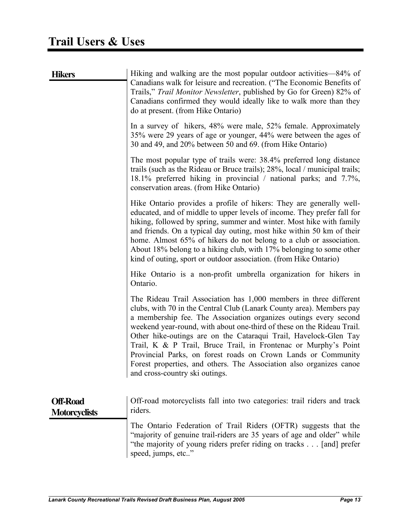| <b>Hikers</b>                           | Hiking and walking are the most popular outdoor activities—84% of<br>Canadians walk for leisure and recreation. ("The Economic Benefits of<br>Trails," Trail Monitor Newsletter, published by Go for Green) 82% of<br>Canadians confirmed they would ideally like to walk more than they<br>do at present. (from Hike Ontario)                                                                                                                                                                                                                                                                           |
|-----------------------------------------|----------------------------------------------------------------------------------------------------------------------------------------------------------------------------------------------------------------------------------------------------------------------------------------------------------------------------------------------------------------------------------------------------------------------------------------------------------------------------------------------------------------------------------------------------------------------------------------------------------|
|                                         | In a survey of hikers, 48% were male, 52% female. Approximately<br>35% were 29 years of age or younger, 44% were between the ages of<br>30 and 49, and 20% between 50 and 69. (from Hike Ontario)                                                                                                                                                                                                                                                                                                                                                                                                        |
|                                         | The most popular type of trails were: 38.4% preferred long distance<br>trails (such as the Rideau or Bruce trails); 28%, local / municipal trails;<br>18.1% preferred hiking in provincial / national parks; and 7.7%,<br>conservation areas. (from Hike Ontario)                                                                                                                                                                                                                                                                                                                                        |
|                                         | Hike Ontario provides a profile of hikers: They are generally well-<br>educated, and of middle to upper levels of income. They prefer fall for<br>hiking, followed by spring, summer and winter. Most hike with family<br>and friends. On a typical day outing, most hike within 50 km of their<br>home. Almost 65% of hikers do not belong to a club or association.<br>About 18% belong to a hiking club, with 17% belonging to some other<br>kind of outing, sport or outdoor association. (from Hike Ontario)                                                                                        |
|                                         | Hike Ontario is a non-profit umbrella organization for hikers in<br>Ontario.                                                                                                                                                                                                                                                                                                                                                                                                                                                                                                                             |
|                                         | The Rideau Trail Association has 1,000 members in three different<br>clubs, with 70 in the Central Club (Lanark County area). Members pay<br>a membership fee. The Association organizes outings every second<br>weekend year-round, with about one-third of these on the Rideau Trail.<br>Other hike-outings are on the Cataraqui Trail, Havelock-Glen Tay<br>Trail, K & P Trail, Bruce Trail, in Frontenac or Murphy's Point<br>Provincial Parks, on forest roads on Crown Lands or Community<br>Forest properties, and others. The Association also organizes canoe<br>and cross-country ski outings. |
| <b>Off-Road</b><br><b>Motorcyclists</b> | Off-road motorcyclists fall into two categories: trail riders and track<br>riders.                                                                                                                                                                                                                                                                                                                                                                                                                                                                                                                       |
|                                         | The Ontario Federation of Trail Riders (OFTR) suggests that the<br>"majority of genuine trail-riders are 35 years of age and older" while<br>"the majority of young riders prefer riding on tracks [and] prefer                                                                                                                                                                                                                                                                                                                                                                                          |

speed, jumps, etc.."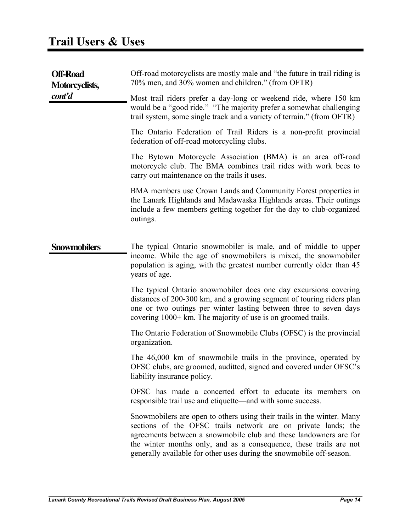| <b>Off-Road</b><br>Motorcyclists, | Off-road motorcyclists are mostly male and "the future in trail riding is<br>70% men, and 30% women and children." (from OFTR)                                                                                                                                                                                                                             |
|-----------------------------------|------------------------------------------------------------------------------------------------------------------------------------------------------------------------------------------------------------------------------------------------------------------------------------------------------------------------------------------------------------|
| cont'd                            | Most trail riders prefer a day-long or weekend ride, where 150 km<br>would be a "good ride." "The majority prefer a somewhat challenging<br>trail system, some single track and a variety of terrain." (from OFTR)                                                                                                                                         |
|                                   | The Ontario Federation of Trail Riders is a non-profit provincial<br>federation of off-road motorcycling clubs.                                                                                                                                                                                                                                            |
|                                   | The Bytown Motorcycle Association (BMA) is an area off-road<br>motorcycle club. The BMA combines trail rides with work bees to<br>carry out maintenance on the trails it uses.                                                                                                                                                                             |
|                                   | BMA members use Crown Lands and Community Forest properties in<br>the Lanark Highlands and Madawaska Highlands areas. Their outings<br>include a few members getting together for the day to club-organized<br>outings.                                                                                                                                    |
| <b>Snowmobilers</b>               | The typical Ontario snowmobiler is male, and of middle to upper<br>income. While the age of snowmobilers is mixed, the snowmobiler<br>population is aging, with the greatest number currently older than 45<br>years of age.                                                                                                                               |
|                                   | The typical Ontario snowmobiler does one day excursions covering<br>distances of 200-300 km, and a growing segment of touring riders plan<br>one or two outings per winter lasting between three to seven days<br>covering 1000+ km. The majority of use is on groomed trails.                                                                             |
|                                   | The Ontario Federation of Snowmobile Clubs (OFSC) is the provincial<br>organization.                                                                                                                                                                                                                                                                       |
|                                   | The 46,000 km of snowmobile trails in the province, operated by<br>OFSC clubs, are groomed, auditted, signed and covered under OFSC's<br>liability insurance policy.                                                                                                                                                                                       |
|                                   | OFSC has made a concerted effort to educate its members on<br>responsible trail use and etiquette—and with some success.                                                                                                                                                                                                                                   |
|                                   | Snowmobilers are open to others using their trails in the winter. Many<br>sections of the OFSC trails network are on private lands; the<br>agreements between a snowmobile club and these landowners are for<br>the winter months only, and as a consequence, these trails are not<br>generally available for other uses during the snowmobile off-season. |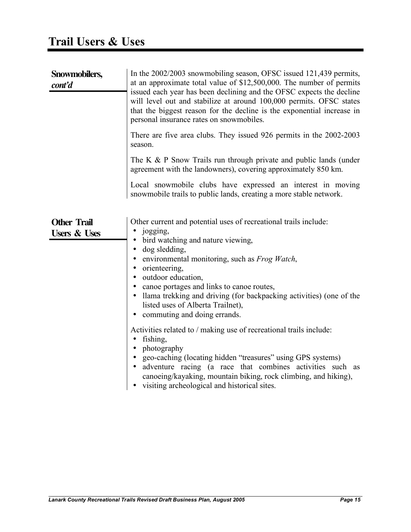| Snowmobilers,<br>$\textit{cont'}d$            | In the 2002/2003 snowmobiling season, OFSC issued 121,439 permits,<br>at an approximate total value of \$12,500,000. The number of permits<br>issued each year has been declining and the OFSC expects the decline<br>will level out and stabilize at around 100,000 permits. OFSC states<br>that the biggest reason for the decline is the exponential increase in<br>personal insurance rates on snowmobiles.<br>There are five area clubs. They issued 926 permits in the 2002-2003                                                                                                                                                                                                                                                                                                      |
|-----------------------------------------------|---------------------------------------------------------------------------------------------------------------------------------------------------------------------------------------------------------------------------------------------------------------------------------------------------------------------------------------------------------------------------------------------------------------------------------------------------------------------------------------------------------------------------------------------------------------------------------------------------------------------------------------------------------------------------------------------------------------------------------------------------------------------------------------------|
|                                               | season.                                                                                                                                                                                                                                                                                                                                                                                                                                                                                                                                                                                                                                                                                                                                                                                     |
|                                               | The K $\&$ P Snow Trails run through private and public lands (under<br>agreement with the landowners), covering approximately 850 km.                                                                                                                                                                                                                                                                                                                                                                                                                                                                                                                                                                                                                                                      |
|                                               | Local snowmobile clubs have expressed an interest in moving<br>snowmobile trails to public lands, creating a more stable network.                                                                                                                                                                                                                                                                                                                                                                                                                                                                                                                                                                                                                                                           |
| <b>Other Trail</b><br><b>Users &amp; Uses</b> | Other current and potential uses of recreational trails include:<br>• jogging,<br>• bird watching and nature viewing,<br>• dog sledding,<br>environmental monitoring, such as <i>Frog Watch</i> ,<br>• orienteering,<br>• outdoor education,<br>• canoe portages and links to canoe routes,<br>• Ilama trekking and driving (for backpacking activities) (one of the<br>listed uses of Alberta Trailnet),<br>• commuting and doing errands.<br>Activities related to / making use of recreational trails include:<br>fishing,<br>photography<br>geo-caching (locating hidden "treasures" using GPS systems)<br>adventure racing (a race that combines activities such as<br>canoeing/kayaking, mountain biking, rock climbing, and hiking),<br>visiting archeological and historical sites. |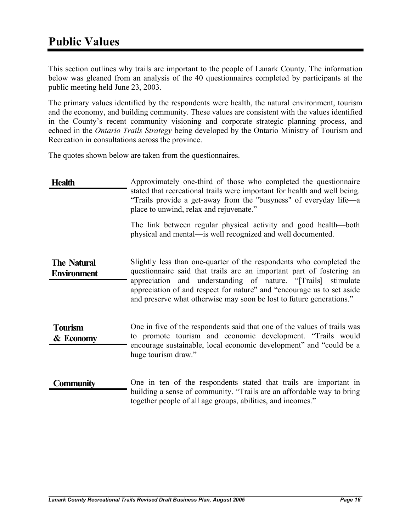This section outlines why trails are important to the people of Lanark County. The information below was gleaned from an analysis of the 40 questionnaires completed by participants at the public meeting held June 23, 2003.

The primary values identified by the respondents were health, the natural environment, tourism and the economy, and building community. These values are consistent with the values identified in the County's recent community visioning and corporate strategic planning process, and echoed in the *Ontario Trails Strategy* being developed by the Ontario Ministry of Tourism and Recreation in consultations across the province.

The quotes shown below are taken from the questionnaires.

| <b>Health</b> | Approximately one-third of those who completed the questionnaire                                                                                                                          |
|---------------|-------------------------------------------------------------------------------------------------------------------------------------------------------------------------------------------|
|               | stated that recreational trails were important for health and well being.<br>"Trails provide a get-away from the "busyness" of everyday life—a<br>place to unwind, relax and rejuvenate." |
|               | The link between regular physical activity and good health—both<br>physical and mental—is well recognized and well documented.                                                            |

#### **The Natural Environment** Slightly less than one-quarter of the respondents who completed the questionnaire said that trails are an important part of fostering an appreciation and understanding of nature. "[Trails] stimulate appreciation of and respect for nature" and "encourage us to set aside and preserve what otherwise may soon be lost to future generations."

- **Tourism & Economy** One in five of the respondents said that one of the values of trails was to promote tourism and economic development. "Trails would encourage sustainable, local economic development" and "could be a huge tourism draw."
- **Community** One in ten of the respondents stated that trails are important in building a sense of community. "Trails are an affordable way to bring together people of all age groups, abilities, and incomes."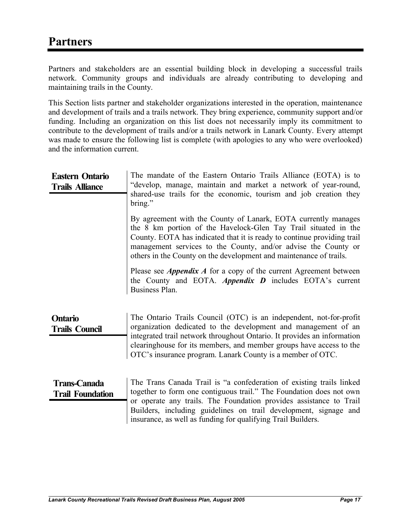Partners and stakeholders are an essential building block in developing a successful trails network. Community groups and individuals are already contributing to developing and maintaining trails in the County.

This Section lists partner and stakeholder organizations interested in the operation, maintenance and development of trails and a trails network. They bring experience, community support and/or funding. Including an organization on this list does not necessarily imply its commitment to contribute to the development of trails and/or a trails network in Lanark County. Every attempt was made to ensure the following list is complete (with apologies to any who were overlooked) and the information current.

| <b>Eastern Ontario</b><br><b>Trails Alliance</b> | The mandate of the Eastern Ontario Trails Alliance (EOTA) is to<br>"develop, manage, maintain and market a network of year-round,<br>shared-use trails for the economic, tourism and job creation they<br>bring."                                                                                                                                     |  |  |  |
|--------------------------------------------------|-------------------------------------------------------------------------------------------------------------------------------------------------------------------------------------------------------------------------------------------------------------------------------------------------------------------------------------------------------|--|--|--|
|                                                  | By agreement with the County of Lanark, EOTA currently manages<br>the 8 km portion of the Havelock-Glen Tay Trail situated in the<br>County. EOTA has indicated that it is ready to continue providing trail<br>management services to the County, and/or advise the County or<br>others in the County on the development and maintenance of trails.  |  |  |  |
|                                                  | Please see <i>Appendix A</i> for a copy of the current Agreement between<br>the County and EOTA. Appendix $D$ includes EOTA's current<br>Business Plan.                                                                                                                                                                                               |  |  |  |
| <b>Ontario</b><br><b>Trails Council</b>          | The Ontario Trails Council (OTC) is an independent, not-for-profit<br>organization dedicated to the development and management of an<br>integrated trail network throughout Ontario. It provides an information<br>clearinghouse for its members, and member groups have access to the<br>OTC's insurance program. Lanark County is a member of OTC.  |  |  |  |
| <b>Trans-Canada</b><br><b>Trail Foundation</b>   | The Trans Canada Trail is "a confederation of existing trails linked<br>together to form one contiguous trail." The Foundation does not own<br>or operate any trails. The Foundation provides assistance to Trail<br>Builders, including guidelines on trail development, signage and<br>insurance, as well as funding for qualifying Trail Builders. |  |  |  |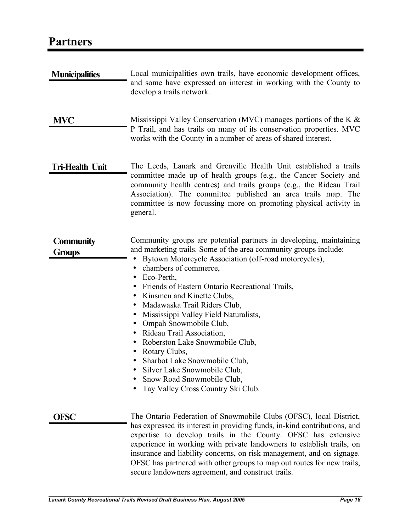### **Partners**

| <b>Municipalities</b>             | Local municipalities own trails, have economic development offices,<br>and some have expressed an interest in working with the County to<br>develop a trails network.                                                                                                                                                                                                                                                                                                                                                                                                                                                                                                                   |
|-----------------------------------|-----------------------------------------------------------------------------------------------------------------------------------------------------------------------------------------------------------------------------------------------------------------------------------------------------------------------------------------------------------------------------------------------------------------------------------------------------------------------------------------------------------------------------------------------------------------------------------------------------------------------------------------------------------------------------------------|
| <b>MVC</b>                        | Mississippi Valley Conservation (MVC) manages portions of the K $\&$<br>P Trail, and has trails on many of its conservation properties. MVC<br>works with the County in a number of areas of shared interest.                                                                                                                                                                                                                                                                                                                                                                                                                                                                           |
| <b>Tri-Health Unit</b>            | The Leeds, Lanark and Grenville Health Unit established a trails<br>committee made up of health groups (e.g., the Cancer Society and<br>community health centres) and trails groups (e.g., the Rideau Trail<br>Association). The committee published an area trails map. The<br>committee is now focussing more on promoting physical activity in<br>general.                                                                                                                                                                                                                                                                                                                           |
| <b>Community</b><br><b>Groups</b> | Community groups are potential partners in developing, maintaining<br>and marketing trails. Some of the area community groups include:<br>Bytown Motorcycle Association (off-road motorcycles),<br>chambers of commerce,<br>Eco-Perth,<br>$\bullet$<br>Friends of Eastern Ontario Recreational Trails,<br>$\bullet$<br>Kinsmen and Kinette Clubs,<br>Madawaska Trail Riders Club,<br>Mississippi Valley Field Naturalists,<br>Ompah Snowmobile Club,<br>Rideau Trail Association,<br>$\bullet$<br>Roberston Lake Snowmobile Club,<br>Rotary Clubs,<br>Sharbot Lake Snowmobile Club,<br>Silver Lake Snowmobile Club,<br>Snow Road Snowmobile Club,<br>Tay Valley Cross Country Ski Club. |
| <b>OFSC</b>                       | The Ontario Federation of Snowmobile Clubs (OFSC), local District,<br>has expressed its interest in providing funds, in-kind contributions, and<br>expertise to develop trails in the County. OFSC has extensive<br>experience in working with private landowners to establish trails, on                                                                                                                                                                                                                                                                                                                                                                                               |

insurance and liability concerns, on risk management, and on signage. OFSC has partnered with other groups to map out routes for new trails,

secure landowners agreement, and construct trails.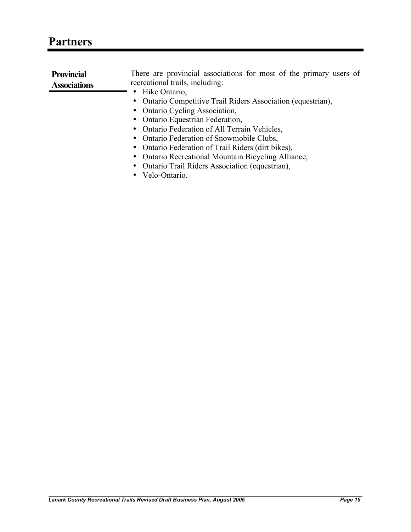| <b>Provincial</b>                   | There are provincial associations for most of the primary users of |  |
|-------------------------------------|--------------------------------------------------------------------|--|
| <b>Associations</b>                 | recreational trails, including:                                    |  |
|                                     | Hike Ontario,<br>٠                                                 |  |
| <b>Ontario Cycling Association,</b> | • Ontario Competitive Trail Riders Association (equestrian),       |  |
|                                     |                                                                    |  |
| Ontario Equestrian Federation,      |                                                                    |  |
| $\bullet$                           | Ontario Federation of All Terrain Vehicles,                        |  |
|                                     | Ontario Federation of Snowmobile Clubs,                            |  |
|                                     | • Ontario Federation of Trail Riders (dirt bikes),                 |  |
|                                     | <b>Ontario Recreational Mountain Bicycling Alliance,</b>           |  |
|                                     | Ontario Trail Riders Association (equestrian),<br>$\bullet$        |  |
|                                     | Velo-Ontario.<br>$\bullet$                                         |  |
|                                     |                                                                    |  |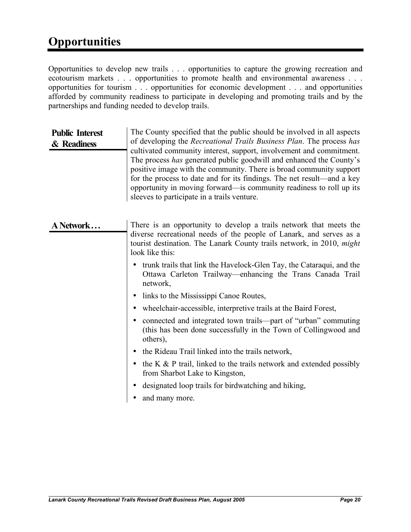### **Opportunities**

Opportunities to develop new trails . . . opportunities to capture the growing recreation and ecotourism markets . . . opportunities to promote health and environmental awareness . . . opportunities for tourism . . . opportunities for economic development . . . and opportunities afforded by community readiness to participate in developing and promoting trails and by the partnerships and funding needed to develop trails.

#### **Public Interest & Readiness** The County specified that the public should be involved in all aspects of developing the *Recreational Trails Business Plan*. The process *has* cultivated community interest, support, involvement and commitment. The process *has* generated public goodwill and enhanced the County's positive image with the community. There is broad community support for the process to date and for its findings. The net result—and a key opportunity in moving forward—is community readiness to roll up its sleeves to participate in a trails venture.

| A Network                              | There is an opportunity to develop a trails network that meets the<br>diverse recreational needs of the people of Lanark, and serves as a<br>tourist destination. The Lanark County trails network, in 2010, <i>might</i><br>look like this: |
|----------------------------------------|----------------------------------------------------------------------------------------------------------------------------------------------------------------------------------------------------------------------------------------------|
|                                        | trunk trails that link the Havelock-Glen Tay, the Cataraqui, and the<br>٠<br>Ottawa Carleton Trailway—enhancing the Trans Canada Trail<br>network,                                                                                           |
| links to the Mississippi Canoe Routes, |                                                                                                                                                                                                                                              |
|                                        | wheelchair-accessible, interpretive trails at the Baird Forest,                                                                                                                                                                              |
|                                        | connected and integrated town trails—part of "urban" commuting<br>(this has been done successfully in the Town of Collingwood and<br>others),                                                                                                |
|                                        | the Rideau Trail linked into the trails network,                                                                                                                                                                                             |
|                                        | the K $\&$ P trail, linked to the trails network and extended possibly<br>$\bullet$<br>from Sharbot Lake to Kingston,                                                                                                                        |
|                                        | designated loop trails for birdwatching and hiking,                                                                                                                                                                                          |
|                                        | and many more.                                                                                                                                                                                                                               |
|                                        |                                                                                                                                                                                                                                              |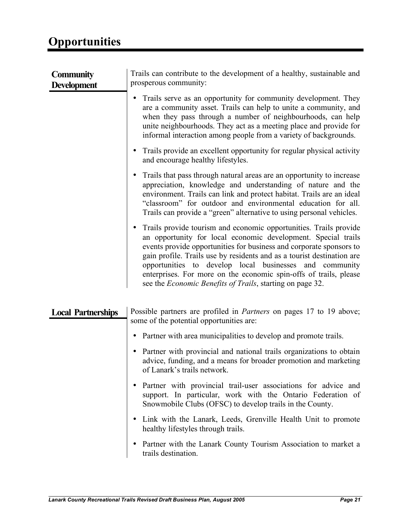| <b>Community</b><br><b>Development</b> | Trails can contribute to the development of a healthy, sustainable and<br>prosperous community:                                                                                                                                                                                                                                                                                                                                                                                          |  |  |  |
|----------------------------------------|------------------------------------------------------------------------------------------------------------------------------------------------------------------------------------------------------------------------------------------------------------------------------------------------------------------------------------------------------------------------------------------------------------------------------------------------------------------------------------------|--|--|--|
|                                        | Trails serve as an opportunity for community development. They<br>$\bullet$<br>are a community asset. Trails can help to unite a community, and<br>when they pass through a number of neighbourhoods, can help<br>unite neighbourhoods. They act as a meeting place and provide for<br>informal interaction among people from a variety of backgrounds.                                                                                                                                  |  |  |  |
|                                        | Trails provide an excellent opportunity for regular physical activity<br>٠<br>and encourage healthy lifestyles.                                                                                                                                                                                                                                                                                                                                                                          |  |  |  |
|                                        | Trails that pass through natural areas are an opportunity to increase<br>appreciation, knowledge and understanding of nature and the<br>environment. Trails can link and protect habitat. Trails are an ideal<br>"classroom" for outdoor and environmental education for all.<br>Trails can provide a "green" alternative to using personal vehicles.                                                                                                                                    |  |  |  |
|                                        | Trails provide tourism and economic opportunities. Trails provide<br>an opportunity for local economic development. Special trails<br>events provide opportunities for business and corporate sponsors to<br>gain profile. Trails use by residents and as a tourist destination are<br>opportunities to develop local businesses and community<br>enterprises. For more on the economic spin-offs of trails, please<br>see the <i>Economic Benefits of Trails</i> , starting on page 32. |  |  |  |
| <b>Local Partnerships</b>              | Possible partners are profiled in <i>Partners</i> on pages 17 to 19 above;<br>some of the potential opportunities are:                                                                                                                                                                                                                                                                                                                                                                   |  |  |  |
|                                        | • Partner with area municipalities to develop and promote trails.                                                                                                                                                                                                                                                                                                                                                                                                                        |  |  |  |
|                                        | Partner with provincial and national trails organizations to obtain<br>advice, funding, and a means for broader promotion and marketing<br>of Lanark's trails network.                                                                                                                                                                                                                                                                                                                   |  |  |  |
|                                        | Partner with provincial trail-user associations for advice and<br>$\bullet$<br>support. In particular, work with the Ontario Federation of<br>Snowmobile Clubs (OFSC) to develop trails in the County.                                                                                                                                                                                                                                                                                   |  |  |  |
|                                        | • Link with the Lanark, Leeds, Grenville Health Unit to promote<br>healthy lifestyles through trails.                                                                                                                                                                                                                                                                                                                                                                                    |  |  |  |
|                                        | Partner with the Lanark County Tourism Association to market a<br>$\bullet$<br>trails destination.                                                                                                                                                                                                                                                                                                                                                                                       |  |  |  |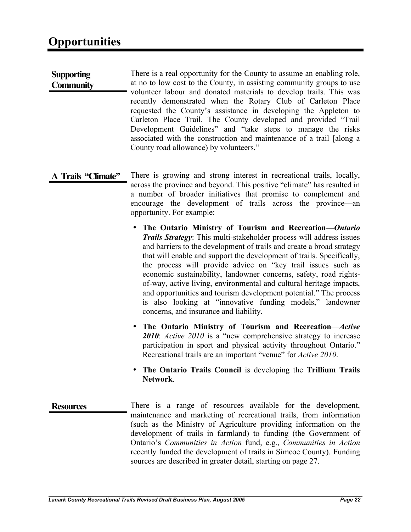| <b>Supporting</b><br><b>Community</b> | There is a real opportunity for the County to assume an enabling role,<br>at no to low cost to the County, in assisting community groups to use<br>volunteer labour and donated materials to develop trails. This was<br>recently demonstrated when the Rotary Club of Carleton Place<br>requested the County's assistance in developing the Appleton to<br>Carleton Place Trail. The County developed and provided "Trail<br>Development Guidelines" and "take steps to manage the risks<br>associated with the construction and maintenance of a trail [along a<br>County road allowance) by volunteers."                                                               |
|---------------------------------------|---------------------------------------------------------------------------------------------------------------------------------------------------------------------------------------------------------------------------------------------------------------------------------------------------------------------------------------------------------------------------------------------------------------------------------------------------------------------------------------------------------------------------------------------------------------------------------------------------------------------------------------------------------------------------|
| A Trails "Climate"                    | There is growing and strong interest in recreational trails, locally,<br>across the province and beyond. This positive "climate" has resulted in<br>a number of broader initiatives that promise to complement and<br>encourage the development of trails across the province—an<br>opportunity. For example:                                                                                                                                                                                                                                                                                                                                                             |
|                                       | • The Ontario Ministry of Tourism and Recreation-Ontario<br>Trails Strategy: This multi-stakeholder process will address issues<br>and barriers to the development of trails and create a broad strategy<br>that will enable and support the development of trails. Specifically,<br>the process will provide advice on "key trail issues such as<br>economic sustainability, landowner concerns, safety, road rights-<br>of-way, active living, environmental and cultural heritage impacts,<br>and opportunities and tourism development potential." The process<br>is also looking at "innovative funding models," landowner<br>concerns, and insurance and liability. |
|                                       | • The Ontario Ministry of Tourism and Recreation- <i>Active</i><br>2010: Active 2010 is a "new comprehensive strategy to increase<br>participation in sport and physical activity throughout Ontario."<br>Recreational trails are an important "venue" for Active 2010.                                                                                                                                                                                                                                                                                                                                                                                                   |
|                                       | The Ontario Trails Council is developing the Trillium Trails<br>Network.                                                                                                                                                                                                                                                                                                                                                                                                                                                                                                                                                                                                  |
| <b>Resources</b>                      | There is a range of resources available for the development,<br>maintenance and marketing of recreational trails, from information<br>(such as the Ministry of Agriculture providing information on the<br>development of trails in farmland) to funding (the Government of<br>Ontario's Communities in Action fund, e.g., Communities in Action<br>recently funded the development of trails in Simcoe County). Funding<br>sources are described in greater detail, starting on page 27.                                                                                                                                                                                 |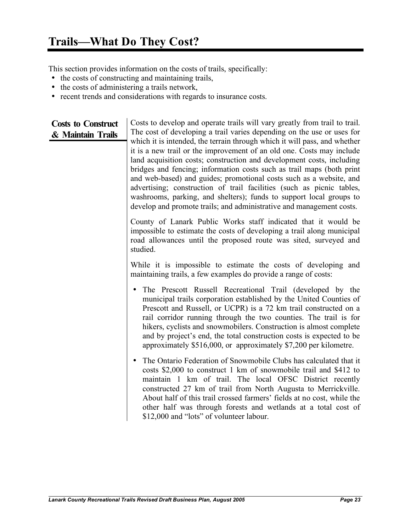This section provides information on the costs of trails, specifically:

- the costs of constructing and maintaining trails,
- the costs of administering a trails network,
- recent trends and considerations with regards to insurance costs.

**Costs to Construct & Maintain Trails** Costs to develop and operate trails will vary greatly from trail to trail. The cost of developing a trail varies depending on the use or uses for which it is intended, the terrain through which it will pass, and whether it is a new trail or the improvement of an old one. Costs may include land acquisition costs; construction and development costs, including bridges and fencing; information costs such as trail maps (both print and web-based) and guides; promotional costs such as a website, and advertising; construction of trail facilities (such as picnic tables, washrooms, parking, and shelters); funds to support local groups to develop and promote trails; and administrative and management costs. County of Lanark Public Works staff indicated that it would be impossible to estimate the costs of developing a trail along municipal road allowances until the proposed route was sited, surveyed and studied. While it is impossible to estimate the costs of developing and maintaining trails, a few examples do provide a range of costs: • The Prescott Russell Recreational Trail (developed by the municipal trails corporation established by the United Counties of Prescott and Russell, or UCPR) is a 72 km trail constructed on a rail corridor running through the two counties. The trail is for hikers, cyclists and snowmobilers. Construction is almost complete and by project's end, the total construction costs is expected to be approximately \$516,000, or approximately \$7,200 per kilometre. • The Ontario Federation of Snowmobile Clubs has calculated that it costs \$2,000 to construct 1 km of snowmobile trail and \$412 to maintain 1 km of trail. The local OFSC District recently constructed 27 km of trail from North Augusta to Merrickville. About half of this trail crossed farmers' fields at no cost, while the other half was through forests and wetlands at a total cost of

\$12,000 and "lots" of volunteer labour.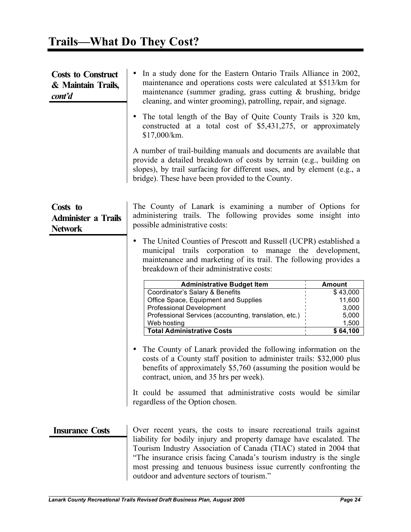| <b>Costs to Construct</b><br>& Maintain Trails,<br>cont'd | In a study done for the Eastern Ontario Trails Alliance in 2002,<br>maintenance and operations costs were calculated at \$513/km for<br>maintenance (summer grading, grass cutting $\&$ brushing, bridge<br>cleaning, and winter grooming), patrolling, repair, and signage.                                                                                 |                                                                                                                                                                                                             |  |  |
|-----------------------------------------------------------|--------------------------------------------------------------------------------------------------------------------------------------------------------------------------------------------------------------------------------------------------------------------------------------------------------------------------------------------------------------|-------------------------------------------------------------------------------------------------------------------------------------------------------------------------------------------------------------|--|--|
|                                                           | The total length of the Bay of Quite County Trails is 320 km,<br>$\bullet$<br>constructed at a total cost of \$5,431,275, or approximately<br>\$17,000/km.                                                                                                                                                                                                   |                                                                                                                                                                                                             |  |  |
|                                                           | A number of trail-building manuals and documents are available that<br>provide a detailed breakdown of costs by terrain (e.g., building on<br>slopes), by trail surfacing for different uses, and by element (e.g., a<br>bridge). These have been provided to the County.                                                                                    |                                                                                                                                                                                                             |  |  |
| Costs to<br><b>Administer a Trails</b><br><b>Network</b>  | The County of Lanark is examining a number of Options for<br>administering trails. The following provides some insight into<br>possible administrative costs:                                                                                                                                                                                                |                                                                                                                                                                                                             |  |  |
|                                                           | The United Counties of Prescott and Russell (UCPR) established a<br>$\bullet$<br>municipal trails corporation to manage the development,<br>maintenance and marketing of its trail. The following provides a<br>breakdown of their administrative costs:                                                                                                     |                                                                                                                                                                                                             |  |  |
|                                                           | <b>Administrative Budget Item</b><br>Coordinator's Salary & Benefits<br>Office Space, Equipment and Supplies<br><b>Professional Development</b><br>Professional Services (accounting, translation, etc.)<br>Web hosting<br><b>Total Administrative Costs</b>                                                                                                 | <b>Amount</b><br>\$43,000<br>11,600<br>3,000<br>5,000<br>1,500<br>\$64,100                                                                                                                                  |  |  |
|                                                           | $\bullet$<br>contract, union, and 35 hrs per week).                                                                                                                                                                                                                                                                                                          | The County of Lanark provided the following information on the<br>costs of a County staff position to administer trails: \$32,000 plus<br>benefits of approximately \$5,760 (assuming the position would be |  |  |
|                                                           | It could be assumed that administrative costs would be similar<br>regardless of the Option chosen.                                                                                                                                                                                                                                                           |                                                                                                                                                                                                             |  |  |
| <b>Insurance Costs</b>                                    | Over recent years, the costs to insure recreational trails against<br>liability for bodily injury and property damage have escalated. The<br>Tourism Industry Association of Canada (TIAC) stated in 2004 that<br>"The insurance crisis facing Canada's tourism industry is the single<br>most pressing and tenuous business issue currently confronting the |                                                                                                                                                                                                             |  |  |

outdoor and adventure sectors of tourism."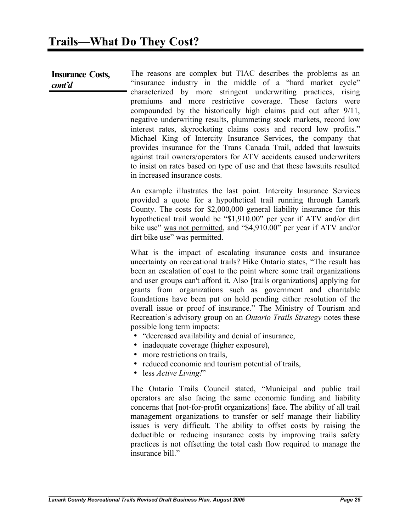| <b>Insurance Costs,</b> |  |
|-------------------------|--|
| cont'd                  |  |

The reasons are complex but TIAC describes the problems as an "insurance industry in the middle of a "hard market cycle" characterized by more stringent underwriting practices, rising premiums and more restrictive coverage. These factors were compounded by the historically high claims paid out after 9/11, negative underwriting results, plummeting stock markets, record low interest rates, skyrocketing claims costs and record low profits." Michael King of Intercity Insurance Services, the company that provides insurance for the Trans Canada Trail, added that lawsuits against trail owners/operators for ATV accidents caused underwriters to insist on rates based on type of use and that these lawsuits resulted in increased insurance costs.

An example illustrates the last point. Intercity Insurance Services provided a quote for a hypothetical trail running through Lanark County. The costs for \$2,000,000 general liability insurance for this hypothetical trail would be "\$1,910.00" per year if ATV and/or dirt bike use" was not permitted, and "\$4,910.00" per year if ATV and/or dirt bike use" was permitted.

What is the impact of escalating insurance costs and insurance uncertainty on recreational trails? Hike Ontario states, "The result has been an escalation of cost to the point where some trail organizations and user groups can't afford it. Also [trails organizations] applying for grants from organizations such as government and charitable foundations have been put on hold pending either resolution of the overall issue or proof of insurance." The Ministry of Tourism and Recreation's advisory group on an *Ontario Trails Strategy* notes these possible long term impacts:

- "decreased availability and denial of insurance,
- inadequate coverage (higher exposure),
- more restrictions on trails,
- reduced economic and tourism potential of trails,
- less *Active Living!*"

The Ontario Trails Council stated, "Municipal and public trail operators are also facing the same economic funding and liability concerns that [not-for-profit organizations] face. The ability of all trail management organizations to transfer or self manage their liability issues is very difficult. The ability to offset costs by raising the deductible or reducing insurance costs by improving trails safety practices is not offsetting the total cash flow required to manage the insurance bill."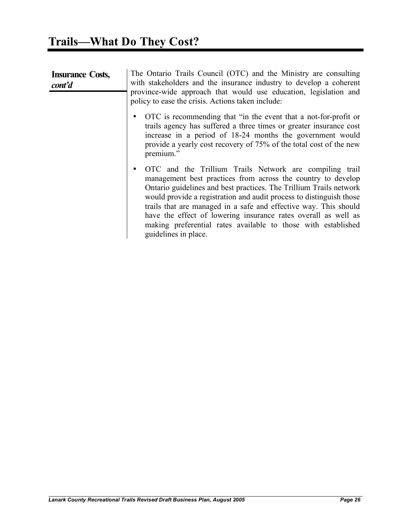| <b>Insurance Costs,</b><br>cont'd | The Ontario Trails Council (OTC) and the Ministry are consulting<br>with stakeholders and the insurance industry to develop a coherent<br>province-wide approach that would use education, legislation and<br>policy to ease the crisis. Actions taken include:                                                                                                                                                                                                                                          |
|-----------------------------------|----------------------------------------------------------------------------------------------------------------------------------------------------------------------------------------------------------------------------------------------------------------------------------------------------------------------------------------------------------------------------------------------------------------------------------------------------------------------------------------------------------|
|                                   | OTC is recommending that "in the event that a not-for-profit or<br>trails agency has suffered a three times or greater insurance cost<br>increase in a period of 18-24 months the government would<br>provide a yearly cost recovery of 75% of the total cost of the new<br>premium."                                                                                                                                                                                                                    |
|                                   | OTC and the Trillium Trails Network are compiling trail<br>٠<br>management best practices from across the country to develop<br>Ontario guidelines and best practices. The Trillium Trails network<br>would provide a registration and audit process to distinguish those<br>trails that are managed in a safe and effective way. This should<br>have the effect of lowering insurance rates overall as well as<br>making preferential rates available to those with established<br>guidelines in place. |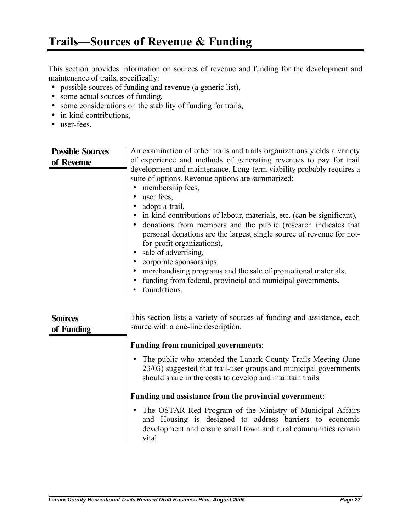This section provides information on sources of revenue and funding for the development and maintenance of trails, specifically:

- possible sources of funding and revenue (a generic list),
- some actual sources of funding,
- some considerations on the stability of funding for trails,
- in-kind contributions,
- user-fees.

| <b>Possible Sources</b><br>of Revenue | An examination of other trails and trails organizations yields a variety<br>of experience and methods of generating revenues to pay for trail<br>development and maintenance. Long-term viability probably requires a<br>suite of options. Revenue options are summarized:<br>membership fees,<br>٠<br>user fees,<br>$\bullet$<br>adopt-a-trail,<br>• in-kind contributions of labour, materials, etc. (can be significant),<br>donations from members and the public (research indicates that<br>$\bullet$<br>personal donations are the largest single source of revenue for not-<br>for-profit organizations),<br>sale of advertising,<br>$\bullet$<br>corporate sponsorships,<br>merchandising programs and the sale of promotional materials,<br>funding from federal, provincial and municipal governments,<br>foundations. |
|---------------------------------------|-----------------------------------------------------------------------------------------------------------------------------------------------------------------------------------------------------------------------------------------------------------------------------------------------------------------------------------------------------------------------------------------------------------------------------------------------------------------------------------------------------------------------------------------------------------------------------------------------------------------------------------------------------------------------------------------------------------------------------------------------------------------------------------------------------------------------------------|
| <b>Sources</b><br>of Funding          | This section lists a variety of sources of funding and assistance, each<br>source with a one-line description.                                                                                                                                                                                                                                                                                                                                                                                                                                                                                                                                                                                                                                                                                                                    |
|                                       | <b>Funding from municipal governments:</b>                                                                                                                                                                                                                                                                                                                                                                                                                                                                                                                                                                                                                                                                                                                                                                                        |
|                                       | The public who attended the Lanark County Trails Meeting (June<br>$\bullet$<br>23/03) suggested that trail-user groups and municipal governments<br>should share in the costs to develop and maintain trails.                                                                                                                                                                                                                                                                                                                                                                                                                                                                                                                                                                                                                     |
|                                       | Funding and assistance from the provincial government:                                                                                                                                                                                                                                                                                                                                                                                                                                                                                                                                                                                                                                                                                                                                                                            |
|                                       | The OSTAR Red Program of the Ministry of Municipal Affairs<br>$\bullet$<br>and Housing is designed to address barriers to economic<br>development and ensure small town and rural communities remain<br>vital.                                                                                                                                                                                                                                                                                                                                                                                                                                                                                                                                                                                                                    |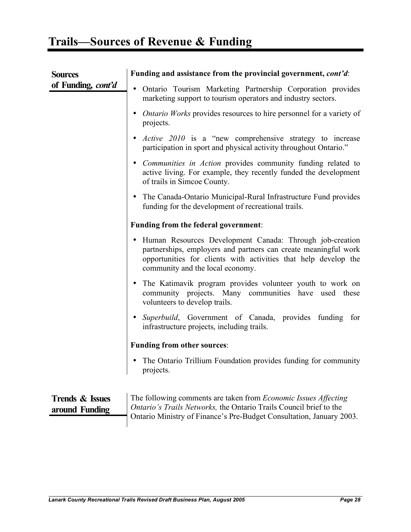| <b>Sources</b>                               | Funding and assistance from the provincial government, cont'd:                                                                                                                                                                                  |
|----------------------------------------------|-------------------------------------------------------------------------------------------------------------------------------------------------------------------------------------------------------------------------------------------------|
| of Funding, cont'd                           | Ontario Tourism Marketing Partnership Corporation provides<br>$\bullet$<br>marketing support to tourism operators and industry sectors.                                                                                                         |
|                                              | <i>Ontario Works</i> provides resources to hire personnel for a variety of<br>projects.                                                                                                                                                         |
|                                              | Active 2010 is a "new comprehensive strategy to increase<br>participation in sport and physical activity throughout Ontario."                                                                                                                   |
|                                              | • Communities in Action provides community funding related to<br>active living. For example, they recently funded the development<br>of trails in Simcoe County.                                                                                |
|                                              | The Canada-Ontario Municipal-Rural Infrastructure Fund provides<br>funding for the development of recreational trails.                                                                                                                          |
|                                              | Funding from the federal government:                                                                                                                                                                                                            |
|                                              | Human Resources Development Canada: Through job-creation<br>$\bullet$<br>partnerships, employers and partners can create meaningful work<br>opportunities for clients with activities that help develop the<br>community and the local economy. |
|                                              | The Katimavik program provides volunteer youth to work on<br>community projects. Many communities have used these<br>volunteers to develop trails.                                                                                              |
|                                              | • Superbuild, Government of Canada, provides funding for<br>infrastructure projects, including trails.                                                                                                                                          |
|                                              | <b>Funding from other sources:</b>                                                                                                                                                                                                              |
|                                              | The Ontario Trillium Foundation provides funding for community<br>projects.                                                                                                                                                                     |
|                                              |                                                                                                                                                                                                                                                 |
| <b>Trends &amp; Issues</b><br>around Funding | The following comments are taken from <i>Economic Issues Affecting</i><br><i>Ontario's Trails Networks</i> , the Ontario Trails Council brief to the                                                                                            |

Ontario Ministry of Finance's Pre-Budget Consultation, January 2003.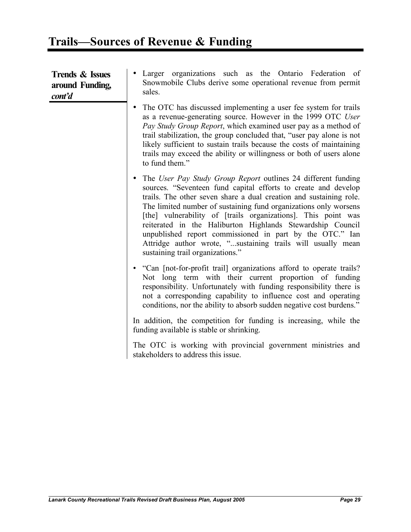| <b>Trends &amp; Issues</b><br>around Funding,<br>cont'd | • Larger organizations such as the Ontario Federation of<br>Snowmobile Clubs derive some operational revenue from permit<br>sales.                                                                                                                                                                                                                                                                                                                                                                                                                                      |
|---------------------------------------------------------|-------------------------------------------------------------------------------------------------------------------------------------------------------------------------------------------------------------------------------------------------------------------------------------------------------------------------------------------------------------------------------------------------------------------------------------------------------------------------------------------------------------------------------------------------------------------------|
|                                                         | The OTC has discussed implementing a user fee system for trails<br>$\bullet$<br>as a revenue-generating source. However in the 1999 OTC User<br>Pay Study Group Report, which examined user pay as a method of<br>trail stabilization, the group concluded that, "user pay alone is not<br>likely sufficient to sustain trails because the costs of maintaining<br>trails may exceed the ability or willingness or both of users alone<br>to fund them."                                                                                                                |
|                                                         | The User Pay Study Group Report outlines 24 different funding<br>sources. "Seventeen fund capital efforts to create and develop<br>trails. The other seven share a dual creation and sustaining role.<br>The limited number of sustaining fund organizations only worsens<br>[the] vulnerability of [trails organizations]. This point was<br>reiterated in the Haliburton Highlands Stewardship Council<br>unpublished report commissioned in part by the OTC." Ian<br>Attridge author wrote, "sustaining trails will usually mean<br>sustaining trail organizations." |
|                                                         | • "Can [not-for-profit trail] organizations afford to operate trails?<br>Not long term with their current proportion of funding<br>responsibility. Unfortunately with funding responsibility there is<br>not a corresponding capability to influence cost and operating<br>conditions, nor the ability to absorb sudden negative cost burdens."                                                                                                                                                                                                                         |
|                                                         | In addition, the competition for funding is increasing, while the<br>funding available is stable or shrinking.                                                                                                                                                                                                                                                                                                                                                                                                                                                          |
|                                                         | The OTC is working with provincial government ministries and<br>stakeholders to address this issue.                                                                                                                                                                                                                                                                                                                                                                                                                                                                     |
|                                                         |                                                                                                                                                                                                                                                                                                                                                                                                                                                                                                                                                                         |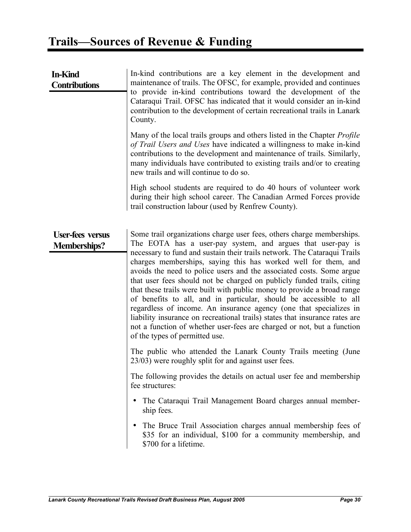| <b>In-Kind</b><br><b>Contributions</b>         | In-kind contributions are a key element in the development and<br>maintenance of trails. The OFSC, for example, provided and continues<br>to provide in-kind contributions toward the development of the<br>Cataraqui Trail. OFSC has indicated that it would consider an in-kind<br>contribution to the development of certain recreational trails in Lanark<br>County.<br>Many of the local trails groups and others listed in the Chapter <i>Profile</i><br>of Trail Users and Uses have indicated a willingness to make in-kind<br>contributions to the development and maintenance of trails. Similarly,<br>many individuals have contributed to existing trails and/or to creating<br>new trails and will continue to do so.<br>High school students are required to do 40 hours of volunteer work                                                                                                                                                                                                                                                                                                                                                                                                                                                                                                                         |
|------------------------------------------------|----------------------------------------------------------------------------------------------------------------------------------------------------------------------------------------------------------------------------------------------------------------------------------------------------------------------------------------------------------------------------------------------------------------------------------------------------------------------------------------------------------------------------------------------------------------------------------------------------------------------------------------------------------------------------------------------------------------------------------------------------------------------------------------------------------------------------------------------------------------------------------------------------------------------------------------------------------------------------------------------------------------------------------------------------------------------------------------------------------------------------------------------------------------------------------------------------------------------------------------------------------------------------------------------------------------------------------|
|                                                | during their high school career. The Canadian Armed Forces provide<br>trail construction labour (used by Renfrew County).                                                                                                                                                                                                                                                                                                                                                                                                                                                                                                                                                                                                                                                                                                                                                                                                                                                                                                                                                                                                                                                                                                                                                                                                        |
| <b>User-fees versus</b><br><b>Memberships?</b> | Some trail organizations charge user fees, others charge memberships.<br>The EOTA has a user-pay system, and argues that user-pay is<br>necessary to fund and sustain their trails network. The Cataraqui Trails<br>charges memberships, saying this has worked well for them, and<br>avoids the need to police users and the associated costs. Some argue<br>that user fees should not be charged on publicly funded trails, citing<br>that these trails were built with public money to provide a broad range<br>of benefits to all, and in particular, should be accessible to all<br>regardless of income. An insurance agency (one that specializes in<br>liability insurance on recreational trails) states that insurance rates are<br>not a function of whether user-fees are charged or not, but a function<br>of the types of permitted use.<br>The public who attended the Lanark County Trails meeting (June<br>23/03) were roughly split for and against user fees.<br>The following provides the details on actual user fee and membership<br>fee structures:<br>The Cataraqui Trail Management Board charges annual member-<br>$\bullet$<br>ship fees.<br>The Bruce Trail Association charges annual membership fees of<br>\$35 for an individual, \$100 for a community membership, and<br>\$700 for a lifetime. |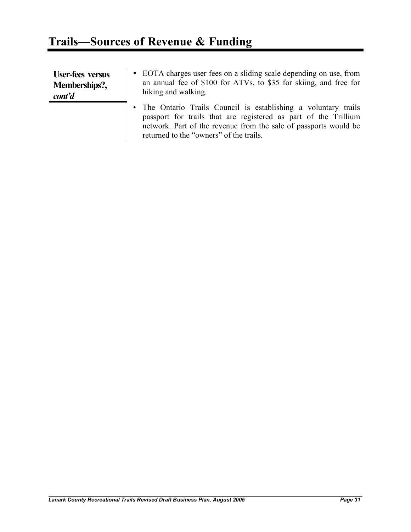| <b>User-fees versus</b> | • EOTA charges user fees on a sliding scale depending on use, from                                                                                                                                                                                |
|-------------------------|---------------------------------------------------------------------------------------------------------------------------------------------------------------------------------------------------------------------------------------------------|
| Memberships?,           | an annual fee of \$100 for ATVs, to \$35 for skiing, and free for                                                                                                                                                                                 |
| cont'd                  | hiking and walking.                                                                                                                                                                                                                               |
|                         | • The Ontario Trails Council is establishing a voluntary trails<br>passport for trails that are registered as part of the Trillium<br>network. Part of the revenue from the sale of passports would be<br>returned to the "owners" of the trails. |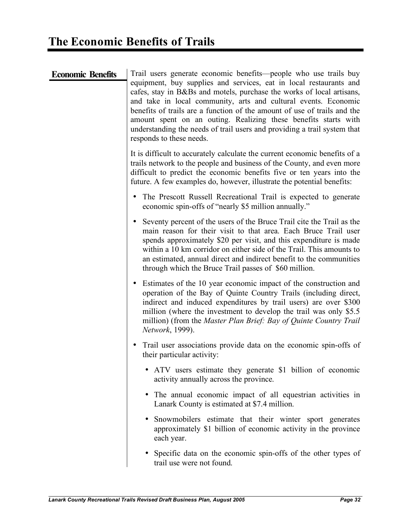| <b>Economic Benefits</b> | Trail users generate economic benefits—people who use trails buy                                                                                                                                                                                                                                                                                                                                                                                                      |
|--------------------------|-----------------------------------------------------------------------------------------------------------------------------------------------------------------------------------------------------------------------------------------------------------------------------------------------------------------------------------------------------------------------------------------------------------------------------------------------------------------------|
|                          | equipment, buy supplies and services, eat in local restaurants and<br>cafes, stay in B&Bs and motels, purchase the works of local artisans,<br>and take in local community, arts and cultural events. Economic<br>benefits of trails are a function of the amount of use of trails and the<br>amount spent on an outing. Realizing these benefits starts with<br>understanding the needs of trail users and providing a trail system that<br>responds to these needs. |
|                          | It is difficult to accurately calculate the current economic benefits of a<br>trails network to the people and business of the County, and even more<br>difficult to predict the economic benefits five or ten years into the<br>future. A few examples do, however, illustrate the potential benefits:                                                                                                                                                               |
|                          | The Prescott Russell Recreational Trail is expected to generate<br>$\bullet$<br>economic spin-offs of "nearly \$5 million annually."                                                                                                                                                                                                                                                                                                                                  |
|                          | Seventy percent of the users of the Bruce Trail cite the Trail as the<br>main reason for their visit to that area. Each Bruce Trail user<br>spends approximately \$20 per visit, and this expenditure is made<br>within a 10 km corridor on either side of the Trail. This amounts to<br>an estimated, annual direct and indirect benefit to the communities<br>through which the Bruce Trail passes of \$60 million.                                                 |
|                          | Estimates of the 10 year economic impact of the construction and<br>operation of the Bay of Quinte Country Trails (including direct,<br>indirect and induced expenditures by trail users) are over \$300<br>million (where the investment to develop the trail was only \$5.5<br>million) (from the Master Plan Brief: Bay of Quinte Country Trail<br>Network, 1999).                                                                                                 |
|                          | Trail user associations provide data on the economic spin-offs of<br>their particular activity:                                                                                                                                                                                                                                                                                                                                                                       |
|                          | ATV users estimate they generate \$1 billion of economic<br>activity annually across the province.                                                                                                                                                                                                                                                                                                                                                                    |
|                          | • The annual economic impact of all equestrian activities in<br>Lanark County is estimated at \$7.4 million.                                                                                                                                                                                                                                                                                                                                                          |
|                          | Snowmobilers estimate that their winter sport generates<br>approximately \$1 billion of economic activity in the province<br>each year.                                                                                                                                                                                                                                                                                                                               |
|                          | Specific data on the economic spin-offs of the other types of<br>trail use were not found.                                                                                                                                                                                                                                                                                                                                                                            |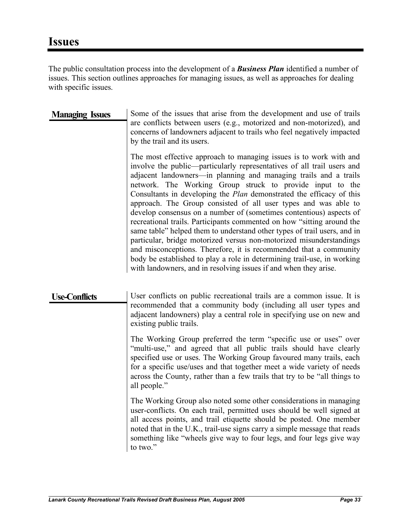The public consultation process into the development of a *Business Plan* identified a number of issues. This section outlines approaches for managing issues, as well as approaches for dealing with specific issues.

| <b>Managing Issues</b> | Some of the issues that arise from the development and use of trails<br>are conflicts between users (e.g., motorized and non-motorized), and<br>concerns of landowners adjacent to trails who feel negatively impacted<br>by the trail and its users.                                                                                                                                                                                                                                                                                                                                                                                                                                                                                                                                                                                                                                                                                                   |
|------------------------|---------------------------------------------------------------------------------------------------------------------------------------------------------------------------------------------------------------------------------------------------------------------------------------------------------------------------------------------------------------------------------------------------------------------------------------------------------------------------------------------------------------------------------------------------------------------------------------------------------------------------------------------------------------------------------------------------------------------------------------------------------------------------------------------------------------------------------------------------------------------------------------------------------------------------------------------------------|
|                        | The most effective approach to managing issues is to work with and<br>involve the public—particularly representatives of all trail users and<br>adjacent landowners—in planning and managing trails and a trails<br>network. The Working Group struck to provide input to the<br>Consultants in developing the <i>Plan</i> demonstrated the efficacy of this<br>approach. The Group consisted of all user types and was able to<br>develop consensus on a number of (sometimes contentious) aspects of<br>recreational trails. Participants commented on how "sitting around the<br>same table" helped them to understand other types of trail users, and in<br>particular, bridge motorized versus non-motorized misunderstandings<br>and misconceptions. Therefore, it is recommended that a community<br>body be established to play a role in determining trail-use, in working<br>with landowners, and in resolving issues if and when they arise. |

Use-Conflicts User conflicts on public recreational trails are a common issue. It is recommended that a community body (including all user types and adjacent landowners) play a central role in specifying use on new and existing public trails.

> The Working Group preferred the term "specific use or uses" over "multi-use," and agreed that all public trails should have clearly specified use or uses. The Working Group favoured many trails, each for a specific use/uses and that together meet a wide variety of needs across the County, rather than a few trails that try to be "all things to all people."

> The Working Group also noted some other considerations in managing user-conflicts. On each trail, permitted uses should be well signed at all access points, and trail etiquette should be posted. One member noted that in the U.K., trail-use signs carry a simple message that reads something like "wheels give way to four legs, and four legs give way to two."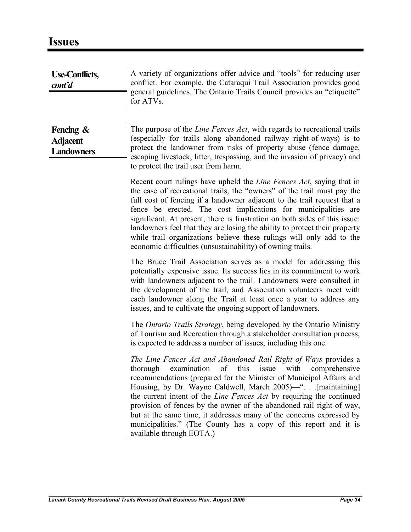| <b>Use-Conflicts,</b><br>cont'd                      | A variety of organizations offer advice and "tools" for reducing user<br>conflict. For example, the Cataraqui Trail Association provides good<br>general guidelines. The Ontario Trails Council provides an "etiquette"<br>for ATVs.                                                                                                                                                                                                                                                                                                                                                                    |
|------------------------------------------------------|---------------------------------------------------------------------------------------------------------------------------------------------------------------------------------------------------------------------------------------------------------------------------------------------------------------------------------------------------------------------------------------------------------------------------------------------------------------------------------------------------------------------------------------------------------------------------------------------------------|
| Fencing $\&$<br><b>Adjacent</b><br><b>Landowners</b> | The purpose of the <i>Line Fences Act</i> , with regards to recreational trails<br>(especially for trails along abandoned railway right-of-ways) is to<br>protect the landowner from risks of property abuse (fence damage,<br>escaping livestock, litter, trespassing, and the invasion of privacy) and<br>to protect the trail user from harm.                                                                                                                                                                                                                                                        |
|                                                      | Recent court rulings have upheld the <i>Line Fences Act</i> , saying that in<br>the case of recreational trails, the "owners" of the trail must pay the<br>full cost of fencing if a landowner adjacent to the trail request that a<br>fence be erected. The cost implications for municipalities are<br>significant. At present, there is frustration on both sides of this issue:<br>landowners feel that they are losing the ability to protect their property<br>while trail organizations believe these rulings will only add to the<br>economic difficulties (unsustainability) of owning trails. |
|                                                      | The Bruce Trail Association serves as a model for addressing this<br>potentially expensive issue. Its success lies in its commitment to work<br>with landowners adjacent to the trail. Landowners were consulted in<br>the development of the trail, and Association volunteers meet with<br>each landowner along the Trail at least once a year to address any<br>issues, and to cultivate the ongoing support of landowners.                                                                                                                                                                          |
|                                                      | The <i>Ontario Trails Strategy</i> , being developed by the Ontario Ministry<br>of Tourism and Recreation through a stakeholder consultation process,<br>is expected to address a number of issues, including this one.                                                                                                                                                                                                                                                                                                                                                                                 |
|                                                      | The Line Fences Act and Abandoned Rail Right of Ways provides a<br>thorough examination of this issue with comprehensive<br>recommendations (prepared for the Minister of Municipal Affairs and<br>Housing, by Dr. Wayne Caldwell, March 2005)—". [maintaining]<br>the current intent of the Line Fences Act by requiring the continued<br>provision of fences by the owner of the abandoned rail right of way,<br>but at the same time, it addresses many of the concerns expressed by<br>municipalities." (The County has a copy of this report and it is<br>available through EOTA.)                 |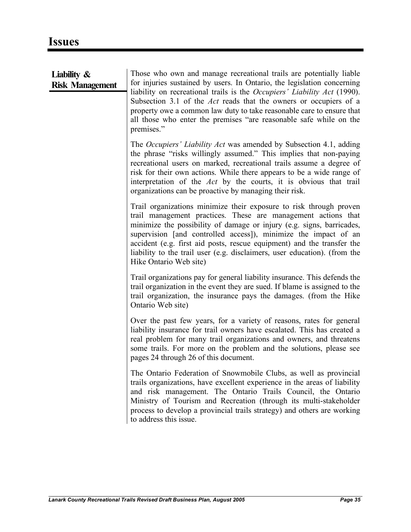| Liability $\&$<br><b>Risk Management</b> | Those who own and manage recreational trails are potentially liable<br>for injuries sustained by users. In Ontario, the legislation concerning<br>liability on recreational trails is the Occupiers' Liability Act (1990).<br>Subsection 3.1 of the <i>Act</i> reads that the owners or occupiers of a<br>property owe a common law duty to take reasonable care to ensure that<br>all those who enter the premises "are reasonable safe while on the<br>premises." |
|------------------------------------------|---------------------------------------------------------------------------------------------------------------------------------------------------------------------------------------------------------------------------------------------------------------------------------------------------------------------------------------------------------------------------------------------------------------------------------------------------------------------|
|                                          | The <i>Occupiers' Liability Act</i> was amended by Subsection 4.1, adding<br>the phrase "risks willingly assumed." This implies that non-paying<br>recreational users on marked, recreational trails assume a degree of<br>risk for their own actions. While there appears to be a wide range of<br>interpretation of the Act by the courts, it is obvious that trail<br>organizations can be proactive by managing their risk.                                     |
|                                          | Trail organizations minimize their exposure to risk through proven<br>trail management practices. These are management actions that<br>minimize the possibility of damage or injury (e.g. signs, barricades,<br>supervision [and controlled access]), minimize the impact of an<br>accident (e.g. first aid posts, rescue equipment) and the transfer the<br>liability to the trail user (e.g. disclaimers, user education). (from the<br>Hike Ontario Web site)    |
|                                          | Trail organizations pay for general liability insurance. This defends the<br>trail organization in the event they are sued. If blame is assigned to the<br>trail organization, the insurance pays the damages. (from the Hike<br>Ontario Web site)                                                                                                                                                                                                                  |
|                                          | Over the past few years, for a variety of reasons, rates for general<br>liability insurance for trail owners have escalated. This has created a<br>real problem for many trail organizations and owners, and threatens<br>some trails. For more on the problem and the solutions, please see<br>pages 24 through 26 of this document.                                                                                                                               |
|                                          | The Ontario Federation of Snowmobile Clubs, as well as provincial<br>trails organizations, have excellent experience in the areas of liability<br>and risk management. The Ontario Trails Council, the Ontario<br>Ministry of Tourism and Recreation (through its multi-stakeholder<br>process to develop a provincial trails strategy) and others are working<br>to address this issue.                                                                            |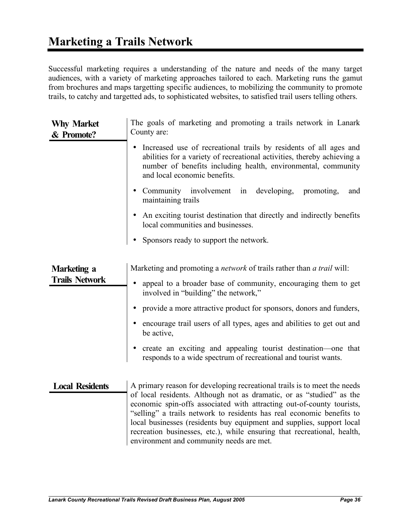Successful marketing requires a understanding of the nature and needs of the many target audiences, with a variety of marketing approaches tailored to each. Marketing runs the gamut from brochures and maps targetting specific audiences, to mobilizing the community to promote trails, to catchy and targetted ads, to sophisticated websites, to satisfied trail users telling others.

| <b>Why Market</b><br>& Promote?      | The goals of marketing and promoting a trails network in Lanark<br>County are:                                                                                                                                                                                                                                                                                                                                                                                                                 |
|--------------------------------------|------------------------------------------------------------------------------------------------------------------------------------------------------------------------------------------------------------------------------------------------------------------------------------------------------------------------------------------------------------------------------------------------------------------------------------------------------------------------------------------------|
|                                      | Increased use of recreational trails by residents of all ages and<br>٠<br>abilities for a variety of recreational activities, thereby achieving a<br>number of benefits including health, environmental, community<br>and local economic benefits.                                                                                                                                                                                                                                             |
|                                      | Community involvement in developing, promoting,<br>and<br>maintaining trails                                                                                                                                                                                                                                                                                                                                                                                                                   |
|                                      | An exciting tourist destination that directly and indirectly benefits<br>local communities and businesses.                                                                                                                                                                                                                                                                                                                                                                                     |
|                                      | Sponsors ready to support the network.                                                                                                                                                                                                                                                                                                                                                                                                                                                         |
| Marketing a<br><b>Trails Network</b> | Marketing and promoting a <i>network</i> of trails rather than <i>a trail</i> will:<br>appeal to a broader base of community, encouraging them to get<br>involved in "building" the network,"<br>provide a more attractive product for sponsors, donors and funders,<br>encourage trail users of all types, ages and abilities to get out and<br>be active,<br>create an exciting and appealing tourist destination-one that<br>responds to a wide spectrum of recreational and tourist wants. |
| <b>Local Residents</b>               | A primary reason for developing recreational trails is to meet the needs<br>of local residents. Although not as dramatic, or as "studied" as the<br>economic spin-offs associated with attracting out-of-county tourists,<br>"selling" a trails network to residents has real economic benefits to<br>local businesses (residents buy equipment and supplies, support local<br>recreation businesses, etc.), while ensuring that recreational, health,                                         |

environment and community needs are met.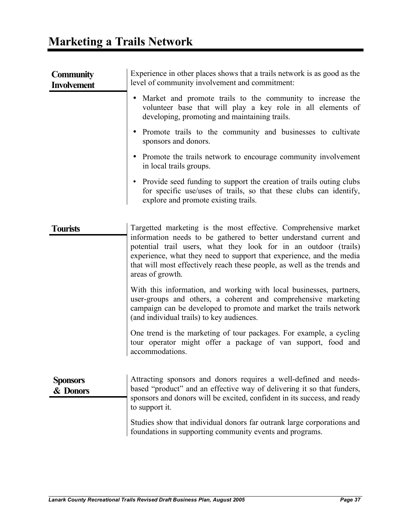| <b>Community</b><br><b>Involvement</b> | Experience in other places shows that a trails network is as good as the<br>level of community involvement and commitment:                                                                                                                                                                                    |
|----------------------------------------|---------------------------------------------------------------------------------------------------------------------------------------------------------------------------------------------------------------------------------------------------------------------------------------------------------------|
|                                        | Market and promote trails to the community to increase the<br>٠<br>volunteer base that will play a key role in all elements of<br>developing, promoting and maintaining trails.                                                                                                                               |
|                                        | Promote trails to the community and businesses to cultivate<br>$\bullet$<br>sponsors and donors.                                                                                                                                                                                                              |
|                                        | • Promote the trails network to encourage community involvement<br>in local trails groups.                                                                                                                                                                                                                    |
|                                        | • Provide seed funding to support the creation of trails outing clubs<br>for specific use/uses of trails, so that these clubs can identify,<br>explore and promote existing trails.                                                                                                                           |
| <b>Tourists</b>                        | Targetted marketing is the most effective. Comprehensive market                                                                                                                                                                                                                                               |
|                                        | information needs to be gathered to better understand current and<br>potential trail users, what they look for in an outdoor (trails)<br>experience, what they need to support that experience, and the media<br>that will most effectively reach these people, as well as the trends and<br>areas of growth. |
|                                        | With this information, and working with local businesses, partners,<br>user-groups and others, a coherent and comprehensive marketing<br>campaign can be developed to promote and market the trails network<br>(and individual trails) to key audiences.                                                      |
|                                        | One trend is the marketing of tour packages. For example, a cycling<br>tour operator might offer a package of van support, food and<br>accommodations.                                                                                                                                                        |
| <b>Sponsors</b><br>& Donors            | Attracting sponsors and donors requires a well-defined and needs-<br>based "product" and an effective way of delivering it so that funders,<br>sponsors and donors will be excited, confident in its success, and ready<br>to support it.                                                                     |
|                                        | Studies show that individual donors far outrank large corporations and<br>foundations in supporting community events and programs.                                                                                                                                                                            |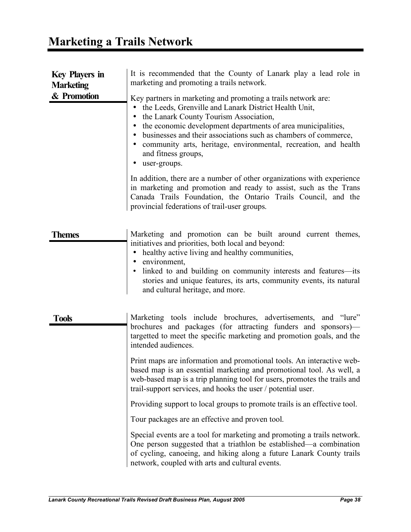### **Marketing a Trails Network**

| <b>Key Players in</b><br><b>Marketing</b> | It is recommended that the County of Lanark play a lead role in<br>marketing and promoting a trails network.                                                                                                                                                                                                                                                                                                                        |
|-------------------------------------------|-------------------------------------------------------------------------------------------------------------------------------------------------------------------------------------------------------------------------------------------------------------------------------------------------------------------------------------------------------------------------------------------------------------------------------------|
| & Promotion                               | Key partners in marketing and promoting a trails network are:<br>the Leeds, Grenville and Lanark District Health Unit,<br>٠<br>the Lanark County Tourism Association,<br>the economic development departments of area municipalities,<br>$\bullet$<br>• businesses and their associations such as chambers of commerce,<br>• community arts, heritage, environmental, recreation, and health<br>and fitness groups,<br>user-groups. |
|                                           | In addition, there are a number of other organizations with experience<br>in marketing and promotion and ready to assist, such as the Trans<br>Canada Trails Foundation, the Ontario Trails Council, and the<br>provincial federations of trail-user groups.                                                                                                                                                                        |
| <b>Themes</b>                             | Marketing and promotion can be built around current themes,<br>initiatives and priorities, both local and beyond:<br>healthy active living and healthy communities,<br>$\bullet$<br>• environment,<br>• linked to and building on community interests and features—its<br>stories and unique features, its arts, community events, its natural<br>and cultural heritage, and more.                                                  |
| <b>Tools</b>                              | Marketing tools include brochures, advertisements, and "lure"<br>brochures and packages (for attracting funders and sponsors)-<br>targetted to meet the specific marketing and promotion goals, and the<br>intended audiences.                                                                                                                                                                                                      |
|                                           | Print maps are information and promotional tools. An interactive web-<br>based map is an essential marketing and promotional tool. As well, a<br>web-based map is a trip planning tool for users, promotes the trails and<br>trail-support services, and hooks the user / potential user.                                                                                                                                           |
|                                           | Providing support to local groups to promote trails is an effective tool.                                                                                                                                                                                                                                                                                                                                                           |
|                                           | Tour packages are an effective and proven tool.                                                                                                                                                                                                                                                                                                                                                                                     |
|                                           | Special events are a tool for marketing and promoting a trails network.<br>One person suggested that a triathlon be established—a combination<br>of cycling, canoeing, and hiking along a future Lanark County trails<br>network, coupled with arts and cultural events.                                                                                                                                                            |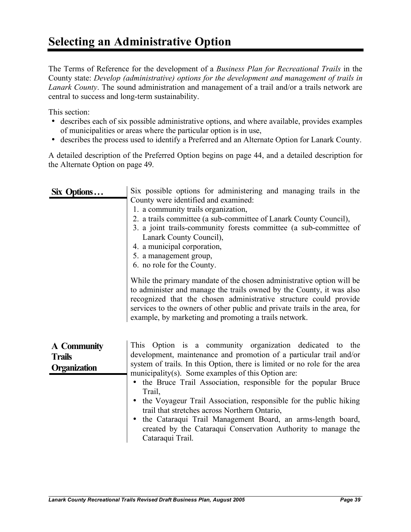### **Selecting an Administrative Option**

The Terms of Reference for the development of a *Business Plan for Recreational Trails* in the County state: *Develop (administrative) options for the development and management of trails in Lanark County*. The sound administration and management of a trail and/or a trails network are central to success and long-term sustainability.

This section:

- describes each of six possible administrative options, and where available, provides examples of municipalities or areas where the particular option is in use,
- describes the process used to identify a Preferred and an Alternate Option for Lanark County.

A detailed description of the Preferred Option begins on page 44, and a detailed description for the Alternate Option on page 49.

| Six Options                                         | Six possible options for administering and managing trails in the<br>County were identified and examined:<br>1. a community trails organization,<br>2. a trails committee (a sub-committee of Lanark County Council),<br>3. a joint trails-community forests committee (a sub-committee of<br>Lanark County Council),<br>4. a municipal corporation,<br>5. a management group,<br>6. no role for the County.                                                                                                                                                                                                                                        |
|-----------------------------------------------------|-----------------------------------------------------------------------------------------------------------------------------------------------------------------------------------------------------------------------------------------------------------------------------------------------------------------------------------------------------------------------------------------------------------------------------------------------------------------------------------------------------------------------------------------------------------------------------------------------------------------------------------------------------|
|                                                     | While the primary mandate of the chosen administrative option will be<br>to administer and manage the trails owned by the County, it was also<br>recognized that the chosen administrative structure could provide<br>services to the owners of other public and private trails in the area, for<br>example, by marketing and promoting a trails network.                                                                                                                                                                                                                                                                                           |
| A Community<br><b>Trails</b><br><b>Organization</b> | This Option is a community organization dedicated to the<br>development, maintenance and promotion of a particular trail and/or<br>system of trails. In this Option, there is limited or no role for the area<br>municipality(s). Some examples of this Option are:<br>the Bruce Trail Association, responsible for the popular Bruce<br>$\bullet$<br>Trail,<br>the Voyageur Trail Association, responsible for the public hiking<br>$\bullet$<br>trail that stretches across Northern Ontario,<br>the Cataraqui Trail Management Board, an arms-length board,<br>created by the Cataraqui Conservation Authority to manage the<br>Cataraqui Trail. |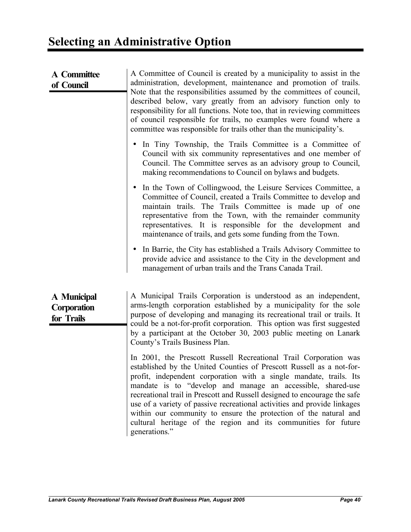| <b>A</b> Committee<br>of Council                | A Committee of Council is created by a municipality to assist in the<br>administration, development, maintenance and promotion of trails.<br>Note that the responsibilities assumed by the committees of council,<br>described below, vary greatly from an advisory function only to<br>responsibility for all functions. Note too, that in reviewing committees<br>of council responsible for trails, no examples were found where a<br>committee was responsible for trails other than the municipality's.                                                                                  |
|-------------------------------------------------|-----------------------------------------------------------------------------------------------------------------------------------------------------------------------------------------------------------------------------------------------------------------------------------------------------------------------------------------------------------------------------------------------------------------------------------------------------------------------------------------------------------------------------------------------------------------------------------------------|
|                                                 | In Tiny Township, the Trails Committee is a Committee of<br>Council with six community representatives and one member of<br>Council. The Committee serves as an advisory group to Council,<br>making recommendations to Council on bylaws and budgets.                                                                                                                                                                                                                                                                                                                                        |
|                                                 | In the Town of Collingwood, the Leisure Services Committee, a<br>Committee of Council, created a Trails Committee to develop and<br>maintain trails. The Trails Committee is made up of one<br>representative from the Town, with the remainder community<br>representatives. It is responsible for the development<br>and<br>maintenance of trails, and gets some funding from the Town.                                                                                                                                                                                                     |
|                                                 | In Barrie, the City has established a Trails Advisory Committee to<br>provide advice and assistance to the City in the development and<br>management of urban trails and the Trans Canada Trail.                                                                                                                                                                                                                                                                                                                                                                                              |
| A Municipal<br><b>Corporation</b><br>for Trails | A Municipal Trails Corporation is understood as an independent,<br>arms-length corporation established by a municipality for the sole<br>purpose of developing and managing its recreational trail or trails. It<br>could be a not-for-profit corporation. This option was first suggested<br>by a participant at the October 30, 2003 public meeting on Lanark<br>County's Trails Business Plan.                                                                                                                                                                                             |
|                                                 | In 2001, the Prescott Russell Recreational Trail Corporation was<br>established by the United Counties of Prescott Russell as a not-for-<br>profit, independent corporation with a single mandate, trails. Its<br>mandate is to "develop and manage an accessible, shared-use<br>recreational trail in Prescott and Russell designed to encourage the safe<br>use of a variety of passive recreational activities and provide linkages<br>within our community to ensure the protection of the natural and<br>cultural heritage of the region and its communities for future<br>generations." |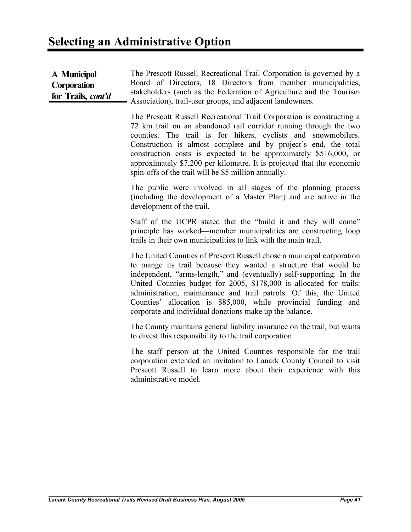| A Municipal<br><b>Corporation</b><br>for Trails, cont'd | The Prescott Russell Recreational Trail Corporation is governed by a<br>Board of Directors, 18 Directors from member municipalities,<br>stakeholders (such as the Federation of Agriculture and the Tourism<br>Association), trail-user groups, and adjacent landowners.                                                                                                                                                                                                                    |
|---------------------------------------------------------|---------------------------------------------------------------------------------------------------------------------------------------------------------------------------------------------------------------------------------------------------------------------------------------------------------------------------------------------------------------------------------------------------------------------------------------------------------------------------------------------|
|                                                         | The Prescott Russell Recreational Trail Corporation is constructing a<br>72 km trail on an abandoned rail corridor running through the two<br>counties. The trail is for hikers, cyclists and snowmobilers.<br>Construction is almost complete and by project's end, the total<br>construction costs is expected to be approximately \$516,000, or<br>approximately \$7,200 per kilometre. It is projected that the economic<br>spin-offs of the trail will be \$5 million annually.        |
|                                                         | The public were involved in all stages of the planning process<br>(including the development of a Master Plan) and are active in the<br>development of the trail.                                                                                                                                                                                                                                                                                                                           |
|                                                         | Staff of the UCPR stated that the "build it and they will come"<br>principle has worked—member municipalities are constructing loop<br>trails in their own municipalities to link with the main trail.                                                                                                                                                                                                                                                                                      |
|                                                         | The United Counties of Prescott Russell chose a municipal corporation<br>to mange its trail because they wanted a structure that would be<br>independent, "arms-length," and (eventually) self-supporting. In the<br>United Counties budget for 2005, \$178,000 is allocated for trails:<br>administration, maintenance and trail patrols. Of this, the United<br>Counties' allocation is \$85,000, while provincial funding and<br>corporate and individual donations make up the balance. |
|                                                         | The County maintains general liability insurance on the trail, but wants<br>to divest this responsibility to the trail corporation.                                                                                                                                                                                                                                                                                                                                                         |
|                                                         | The staff person at the United Counties responsible for the trail<br>corporation extended an invitation to Lanark County Council to visit<br>Prescott Russell to learn more about their experience with this<br>administrative model.                                                                                                                                                                                                                                                       |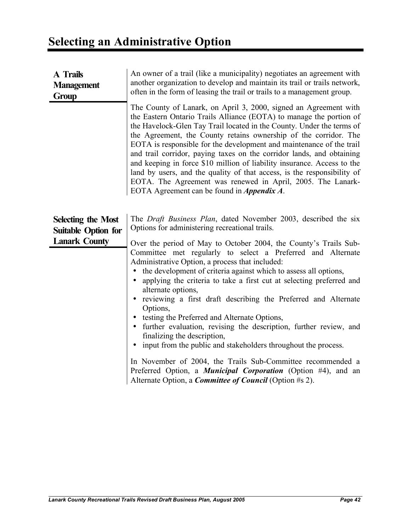| <b>A</b> Trails<br><b>Management</b><br>Group                                   | An owner of a trail (like a municipality) negotiates an agreement with<br>another organization to develop and maintain its trail or trails network,<br>often in the form of leasing the trail or trails to a management group.                                                                                                                                                                                                                                                                                                                                                                                                                                                                                                                                                                                                        |
|---------------------------------------------------------------------------------|---------------------------------------------------------------------------------------------------------------------------------------------------------------------------------------------------------------------------------------------------------------------------------------------------------------------------------------------------------------------------------------------------------------------------------------------------------------------------------------------------------------------------------------------------------------------------------------------------------------------------------------------------------------------------------------------------------------------------------------------------------------------------------------------------------------------------------------|
|                                                                                 | The County of Lanark, on April 3, 2000, signed an Agreement with<br>the Eastern Ontario Trails Alliance (EOTA) to manage the portion of<br>the Havelock-Glen Tay Trail located in the County. Under the terms of<br>the Agreement, the County retains ownership of the corridor. The<br>EOTA is responsible for the development and maintenance of the trail<br>and trail corridor, paying taxes on the corridor lands, and obtaining<br>and keeping in force \$10 million of liability insurance. Access to the<br>land by users, and the quality of that access, is the responsibility of<br>EOTA. The Agreement was renewed in April, 2005. The Lanark-<br>EOTA Agreement can be found in <i>Appendix A</i> .                                                                                                                      |
| <b>Selecting the Most</b><br><b>Suitable Option for</b><br><b>Lanark County</b> | The Draft Business Plan, dated November 2003, described the six<br>Options for administering recreational trails.<br>Over the period of May to October 2004, the County's Trails Sub-<br>Committee met regularly to select a Preferred and Alternate<br>Administrative Option, a process that included:<br>the development of criteria against which to assess all options,<br>$\bullet$<br>applying the criteria to take a first cut at selecting preferred and<br>$\bullet$<br>alternate options,<br>reviewing a first draft describing the Preferred and Alternate<br>$\bullet$<br>Options,<br>• testing the Preferred and Alternate Options,<br>• further evaluation, revising the description, further review, and<br>finalizing the description,<br>input from the public and stakeholders throughout the process.<br>$\bullet$ |
|                                                                                 | In November of 2004, the Trails Sub-Committee recommended a<br>Preferred Option, a Municipal Corporation (Option #4), and an<br>Alternate Option, a <i>Committee of Council</i> (Option #s 2).                                                                                                                                                                                                                                                                                                                                                                                                                                                                                                                                                                                                                                        |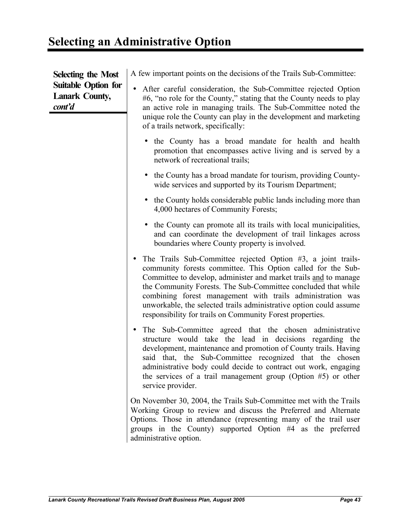| <b>Selecting the Most</b>                                     | A few important points on the decisions of the Trails Sub-Committee:                                                                                                                                                                                                                                                                                                                                                                                                 |
|---------------------------------------------------------------|----------------------------------------------------------------------------------------------------------------------------------------------------------------------------------------------------------------------------------------------------------------------------------------------------------------------------------------------------------------------------------------------------------------------------------------------------------------------|
| <b>Suitable Option for</b><br><b>Lanark County,</b><br>cont'd | After careful consideration, the Sub-Committee rejected Option<br>$\bullet$<br>#6, "no role for the County," stating that the County needs to play<br>an active role in managing trails. The Sub-Committee noted the<br>unique role the County can play in the development and marketing<br>of a trails network, specifically:                                                                                                                                       |
|                                                               | • the County has a broad mandate for health and health<br>promotion that encompasses active living and is served by a<br>network of recreational trails;                                                                                                                                                                                                                                                                                                             |
|                                                               | the County has a broad mandate for tourism, providing County-<br>wide services and supported by its Tourism Department;                                                                                                                                                                                                                                                                                                                                              |
|                                                               | • the County holds considerable public lands including more than<br>4,000 hectares of Community Forests;                                                                                                                                                                                                                                                                                                                                                             |
|                                                               | • the County can promote all its trails with local municipalities,<br>and can coordinate the development of trail linkages across<br>boundaries where County property is involved.                                                                                                                                                                                                                                                                                   |
|                                                               | • The Trails Sub-Committee rejected Option #3, a joint trails-<br>community forests committee. This Option called for the Sub-<br>Committee to develop, administer and market trails and to manage<br>the Community Forests. The Sub-Committee concluded that while<br>combining forest management with trails administration was<br>unworkable, the selected trails administrative option could assume<br>responsibility for trails on Community Forest properties. |
|                                                               | The Sub-Committee agreed that the chosen administrative<br>$\bullet$<br>structure would take the lead in decisions regarding the<br>development, maintenance and promotion of County trails. Having<br>said that, the Sub-Committee recognized that the chosen<br>administrative body could decide to contract out work, engaging<br>the services of a trail management group (Option $#5$ ) or other<br>service provider.                                           |
|                                                               | On November 30, 2004, the Trails Sub-Committee met with the Trails<br>Working Group to review and discuss the Preferred and Alternate<br>Options. Those in attendance (representing many of the trail user<br>groups in the County) supported Option #4 as the preferred<br>administrative option.                                                                                                                                                                   |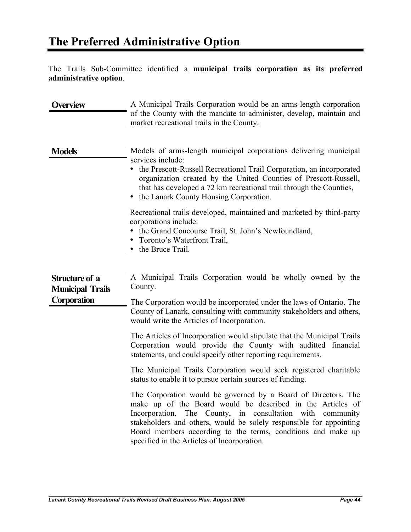The Trails Sub-Committee identified a **municipal trails corporation as its preferred administrative option**.

| <b>Overview</b>                                                 | A Municipal Trails Corporation would be an arms-length corporation<br>of the County with the mandate to administer, develop, maintain and<br>market recreational trails in the County.                                                                                                                                                                                                                                                                                                                                                                                                                                                                                                                                                                                                                           |
|-----------------------------------------------------------------|------------------------------------------------------------------------------------------------------------------------------------------------------------------------------------------------------------------------------------------------------------------------------------------------------------------------------------------------------------------------------------------------------------------------------------------------------------------------------------------------------------------------------------------------------------------------------------------------------------------------------------------------------------------------------------------------------------------------------------------------------------------------------------------------------------------|
| <b>Models</b>                                                   | Models of arms-length municipal corporations delivering municipal<br>services include:<br>the Prescott-Russell Recreational Trail Corporation, an incorporated<br>organization created by the United Counties of Prescott-Russell,<br>that has developed a 72 km recreational trail through the Counties,<br>the Lanark County Housing Corporation.<br>$\bullet$                                                                                                                                                                                                                                                                                                                                                                                                                                                 |
|                                                                 | Recreational trails developed, maintained and marketed by third-party<br>corporations include:<br>• the Grand Concourse Trail, St. John's Newfoundland,<br>• Toronto's Waterfront Trail,<br>the Bruce Trail.<br>$\bullet$                                                                                                                                                                                                                                                                                                                                                                                                                                                                                                                                                                                        |
| <b>Structure of a</b><br><b>Municipal Trails</b><br>Corporation | A Municipal Trails Corporation would be wholly owned by the<br>County.<br>The Corporation would be incorporated under the laws of Ontario. The<br>County of Lanark, consulting with community stakeholders and others,<br>would write the Articles of Incorporation.<br>The Articles of Incorporation would stipulate that the Municipal Trails<br>Corporation would provide the County with auditted financial<br>statements, and could specify other reporting requirements.<br>The Municipal Trails Corporation would seek registered charitable<br>status to enable it to pursue certain sources of funding.<br>The Corporation would be governed by a Board of Directors. The<br>make up of the Board would be described in the Articles of<br>The County, in consultation with community<br>Incorporation. |
|                                                                 | stakeholders and others, would be solely responsible for appointing<br>Board members according to the terms, conditions and make up<br>specified in the Articles of Incorporation.                                                                                                                                                                                                                                                                                                                                                                                                                                                                                                                                                                                                                               |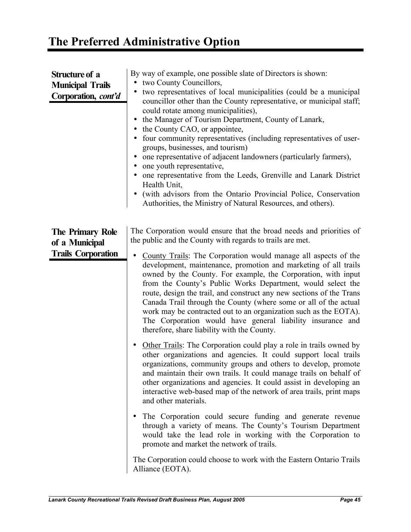| By way of example, one possible slate of Directors is shown:<br>two County Councillors,<br>two representatives of local municipalities (could be a municipal<br>councillor other than the County representative, or municipal staff;<br>could rotate among municipalities),<br>the Manager of Tourism Department, County of Lanark,<br>• the County CAO, or appointee,<br>four community representatives (including representatives of user-<br>groups, businesses, and tourism)<br>one representative of adjacent landowners (particularly farmers),<br>one youth representative,<br>one representative from the Leeds, Grenville and Lanark District<br>Health Unit,<br>(with advisors from the Ontario Provincial Police, Conservation<br>Authorities, the Ministry of Natural Resources, and others). |
|-----------------------------------------------------------------------------------------------------------------------------------------------------------------------------------------------------------------------------------------------------------------------------------------------------------------------------------------------------------------------------------------------------------------------------------------------------------------------------------------------------------------------------------------------------------------------------------------------------------------------------------------------------------------------------------------------------------------------------------------------------------------------------------------------------------|
| The Corporation would ensure that the broad needs and priorities of<br>the public and the County with regards to trails are met.<br>County Trails: The Corporation would manage all aspects of the<br>$\bullet$<br>development, maintenance, promotion and marketing of all trails<br>owned by the County. For example, the Corporation, with input<br>from the County's Public Works Department, would select the<br>route, design the trail, and construct any new sections of the Trans<br>Canada Trail through the County (where some or all of the actual<br>work may be contracted out to an organization such as the EOTA).<br>The Corporation would have general liability insurance and<br>therefore, share liability with the County.                                                           |
| Other Trails: The Corporation could play a role in trails owned by<br>other organizations and agencies. It could support local trails<br>organizations, community groups and others to develop, promote<br>and maintain their own trails. It could manage trails on behalf of<br>other organizations and agencies. It could assist in developing an<br>interactive web-based map of the network of area trails, print maps<br>and other materials.<br>The Corporation could secure funding and generate revenue<br>$\bullet$                                                                                                                                                                                                                                                                              |
| through a variety of means. The County's Tourism Department<br>would take the lead role in working with the Corporation to<br>promote and market the network of trails.<br>The Corporation could choose to work with the Eastern Ontario Trails<br>Alliance (EOTA).                                                                                                                                                                                                                                                                                                                                                                                                                                                                                                                                       |
|                                                                                                                                                                                                                                                                                                                                                                                                                                                                                                                                                                                                                                                                                                                                                                                                           |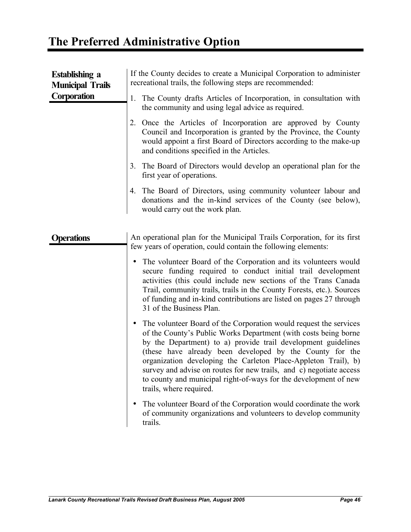| <b>Establishing a</b><br><b>Municipal Trails</b> | If the County decides to create a Municipal Corporation to administer<br>recreational trails, the following steps are recommended:                                                                                                                                                                                                                                                                                                                                                                                     |
|--------------------------------------------------|------------------------------------------------------------------------------------------------------------------------------------------------------------------------------------------------------------------------------------------------------------------------------------------------------------------------------------------------------------------------------------------------------------------------------------------------------------------------------------------------------------------------|
| <b>Corporation</b>                               | The County drafts Articles of Incorporation, in consultation with<br>1.<br>the community and using legal advice as required.                                                                                                                                                                                                                                                                                                                                                                                           |
|                                                  | 2. Once the Articles of Incorporation are approved by County<br>Council and Incorporation is granted by the Province, the County<br>would appoint a first Board of Directors according to the make-up<br>and conditions specified in the Articles.                                                                                                                                                                                                                                                                     |
|                                                  | The Board of Directors would develop an operational plan for the<br>3.<br>first year of operations.                                                                                                                                                                                                                                                                                                                                                                                                                    |
|                                                  | The Board of Directors, using community volunteer labour and<br>4.<br>donations and the in-kind services of the County (see below),<br>would carry out the work plan.                                                                                                                                                                                                                                                                                                                                                  |
| <b>Operations</b>                                | An operational plan for the Municipal Trails Corporation, for its first<br>few years of operation, could contain the following elements:                                                                                                                                                                                                                                                                                                                                                                               |
|                                                  | The volunteer Board of the Corporation and its volunteers would<br>٠<br>secure funding required to conduct initial trail development<br>activities (this could include new sections of the Trans Canada<br>Trail, community trails, trails in the County Forests, etc.). Sources<br>of funding and in-kind contributions are listed on pages 27 through<br>31 of the Business Plan.                                                                                                                                    |
|                                                  | The volunteer Board of the Corporation would request the services<br>$\bullet$<br>of the County's Public Works Department (with costs being borne<br>by the Department) to a) provide trail development guidelines<br>(these have already been developed by the County for the<br>organization developing the Carleton Place-Appleton Trail), b)<br>survey and advise on routes for new trails, and c) negotiate access<br>to county and municipal right-of-ways for the development of new<br>trails, where required. |
|                                                  | The volunteer Board of the Corporation would coordinate the work<br>of community organizations and volunteers to develop community<br>trails.                                                                                                                                                                                                                                                                                                                                                                          |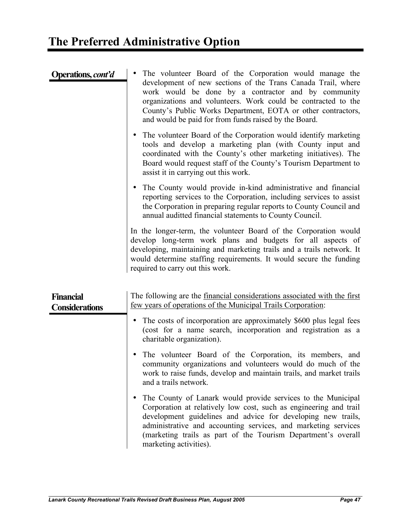| Operations, <i>cont'd</i>                 | The volunteer Board of the Corporation would manage the<br>development of new sections of the Trans Canada Trail, where<br>work would be done by a contractor and by community<br>organizations and volunteers. Work could be contracted to the<br>County's Public Works Department, EOTA or other contractors,<br>and would be paid for from funds raised by the Board. |
|-------------------------------------------|--------------------------------------------------------------------------------------------------------------------------------------------------------------------------------------------------------------------------------------------------------------------------------------------------------------------------------------------------------------------------|
|                                           | The volunteer Board of the Corporation would identify marketing<br>$\bullet$<br>tools and develop a marketing plan (with County input and<br>coordinated with the County's other marketing initiatives). The<br>Board would request staff of the County's Tourism Department to<br>assist it in carrying out this work.                                                  |
|                                           | The County would provide in-kind administrative and financial<br>$\bullet$<br>reporting services to the Corporation, including services to assist<br>the Corporation in preparing regular reports to County Council and<br>annual auditted financial statements to County Council.                                                                                       |
|                                           | In the longer-term, the volunteer Board of the Corporation would<br>develop long-term work plans and budgets for all aspects of<br>developing, maintaining and marketing trails and a trails network. It<br>would determine staffing requirements. It would secure the funding<br>required to carry out this work.                                                       |
| <b>Financial</b><br><b>Considerations</b> | The following are the financial considerations associated with the first<br>few years of operations of the Municipal Trails Corporation:                                                                                                                                                                                                                                 |
|                                           | The costs of incorporation are approximately \$600 plus legal fees<br>$\bullet$<br>(cost for a name search, incorporation and registration as a<br>charitable organization).                                                                                                                                                                                             |
|                                           | The volunteer Board of the Corporation, its members, and                                                                                                                                                                                                                                                                                                                 |

community organizations and volunteers would do much of the work to raise funds, develop and maintain trails, and market trails and a trails network.

• The County of Lanark would provide services to the Municipal Corporation at relatively low cost, such as engineering and trail development guidelines and advice for developing new trails, administrative and accounting services, and marketing services (marketing trails as part of the Tourism Department's overall marketing activities).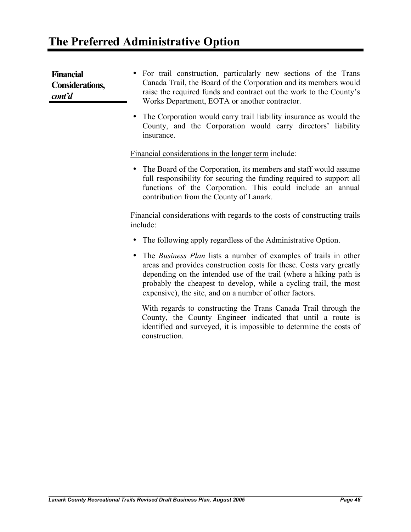| <b>Financial</b><br><b>Considerations,</b><br>cont'd | For trail construction, particularly new sections of the Trans<br>Canada Trail, the Board of the Corporation and its members would<br>raise the required funds and contract out the work to the County's<br>Works Department, EOTA or another contractor.                                                                                           |
|------------------------------------------------------|-----------------------------------------------------------------------------------------------------------------------------------------------------------------------------------------------------------------------------------------------------------------------------------------------------------------------------------------------------|
|                                                      | The Corporation would carry trail liability insurance as would the<br>County, and the Corporation would carry directors' liability<br>insurance.                                                                                                                                                                                                    |
|                                                      | Financial considerations in the longer term include:                                                                                                                                                                                                                                                                                                |
|                                                      | The Board of the Corporation, its members and staff would assume<br>full responsibility for securing the funding required to support all<br>functions of the Corporation. This could include an annual<br>contribution from the County of Lanark.                                                                                                   |
|                                                      | <u>Financial considerations with regards to the costs of constructing trails</u><br>include:                                                                                                                                                                                                                                                        |
|                                                      | The following apply regardless of the Administrative Option.                                                                                                                                                                                                                                                                                        |
|                                                      | The <i>Business Plan</i> lists a number of examples of trails in other<br>areas and provides construction costs for these. Costs vary greatly<br>depending on the intended use of the trail (where a hiking path is<br>probably the cheapest to develop, while a cycling trail, the most<br>expensive), the site, and on a number of other factors. |
|                                                      | With regards to constructing the Trans Canada Trail through the<br>County, the County Engineer indicated that until a route is<br>identified and surveyed, it is impossible to determine the costs of<br>construction.                                                                                                                              |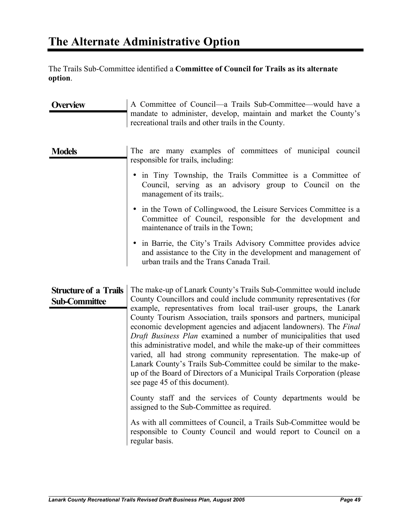The Trails Sub-Committee identified a **Committee of Council for Trails as its alternate option**.

| <b>Overview</b>                                      | A Committee of Council—a Trails Sub-Committee—would have a<br>mandate to administer, develop, maintain and market the County's<br>recreational trails and other trails in the County.                                                                                                                                                                                                                                                                                                                                                                                                                                                                                                                                                                                                                                                                                                                                                                                                                                               |
|------------------------------------------------------|-------------------------------------------------------------------------------------------------------------------------------------------------------------------------------------------------------------------------------------------------------------------------------------------------------------------------------------------------------------------------------------------------------------------------------------------------------------------------------------------------------------------------------------------------------------------------------------------------------------------------------------------------------------------------------------------------------------------------------------------------------------------------------------------------------------------------------------------------------------------------------------------------------------------------------------------------------------------------------------------------------------------------------------|
| <b>Models</b>                                        | The are many examples of committees of municipal council<br>responsible for trails, including:                                                                                                                                                                                                                                                                                                                                                                                                                                                                                                                                                                                                                                                                                                                                                                                                                                                                                                                                      |
|                                                      | • in Tiny Township, the Trails Committee is a Committee of<br>Council, serving as an advisory group to Council on the<br>management of its trails;                                                                                                                                                                                                                                                                                                                                                                                                                                                                                                                                                                                                                                                                                                                                                                                                                                                                                  |
|                                                      | • in the Town of Collingwood, the Leisure Services Committee is a<br>Committee of Council, responsible for the development and<br>maintenance of trails in the Town;                                                                                                                                                                                                                                                                                                                                                                                                                                                                                                                                                                                                                                                                                                                                                                                                                                                                |
|                                                      | • in Barrie, the City's Trails Advisory Committee provides advice<br>and assistance to the City in the development and management of<br>urban trails and the Trans Canada Trail.                                                                                                                                                                                                                                                                                                                                                                                                                                                                                                                                                                                                                                                                                                                                                                                                                                                    |
| <b>Structure of a Trails</b><br><b>Sub-Committee</b> | The make-up of Lanark County's Trails Sub-Committee would include<br>County Councillors and could include community representatives (for<br>example, representatives from local trail-user groups, the Lanark<br>County Tourism Association, trails sponsors and partners, municipal<br>economic development agencies and adjacent landowners). The Final<br>Draft Business Plan examined a number of municipalities that used<br>this administrative model, and while the make-up of their committees<br>varied, all had strong community representation. The make-up of<br>Lanark County's Trails Sub-Committee could be similar to the make-<br>up of the Board of Directors of a Municipal Trails Corporation (please<br>see page 45 of this document).<br>County staff and the services of County departments would be<br>assigned to the Sub-Committee as required.<br>As with all committees of Council, a Trails Sub-Committee would be<br>responsible to County Council and would report to Council on a<br>regular basis. |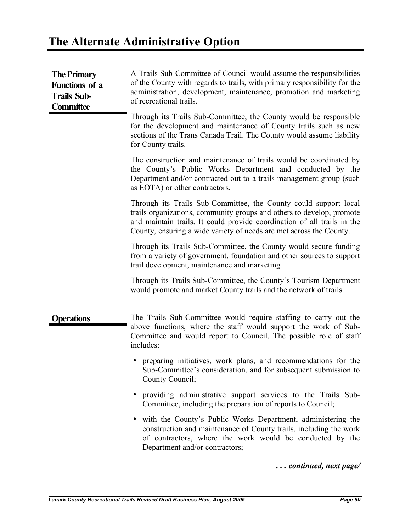# **The Alternate Administrative Option**

| <b>The Primary</b><br><b>Functions</b> of a<br><b>Trails Sub-</b><br><b>Committee</b> | A Trails Sub-Committee of Council would assume the responsibilities<br>of the County with regards to trails, with primary responsibility for the<br>administration, development, maintenance, promotion and marketing<br>of recreational trails.                                            |
|---------------------------------------------------------------------------------------|---------------------------------------------------------------------------------------------------------------------------------------------------------------------------------------------------------------------------------------------------------------------------------------------|
|                                                                                       | Through its Trails Sub-Committee, the County would be responsible<br>for the development and maintenance of County trails such as new<br>sections of the Trans Canada Trail. The County would assume liability<br>for County trails.                                                        |
|                                                                                       | The construction and maintenance of trails would be coordinated by<br>the County's Public Works Department and conducted by the<br>Department and/or contracted out to a trails management group (such<br>as EOTA) or other contractors.                                                    |
|                                                                                       | Through its Trails Sub-Committee, the County could support local<br>trails organizations, community groups and others to develop, promote<br>and maintain trails. It could provide coordination of all trails in the<br>County, ensuring a wide variety of needs are met across the County. |
|                                                                                       | Through its Trails Sub-Committee, the County would secure funding<br>from a variety of government, foundation and other sources to support<br>trail development, maintenance and marketing.                                                                                                 |
|                                                                                       | Through its Trails Sub-Committee, the County's Tourism Department<br>would promote and market County trails and the network of trails.                                                                                                                                                      |
| Operations                                                                            | The Trails Sub-Committee would require staffing to carry out the<br>above functions, where the staff would support the work of Sub-<br>Committee and would report to Council. The possible role of staff<br>includes:                                                                       |
|                                                                                       | preparing initiatives, work plans, and recommendations for the<br>Sub-Committee's consideration, and for subsequent submission to<br>County Council;                                                                                                                                        |
|                                                                                       | providing administrative support services to the Trails Sub-<br>Committee, including the preparation of reports to Council;                                                                                                                                                                 |
|                                                                                       | with the County's Public Works Department, administering the<br>construction and maintenance of County trails, including the work<br>of contractors, where the work would be conducted by the<br>Department and/or contractors;                                                             |
|                                                                                       | continued, next page/                                                                                                                                                                                                                                                                       |